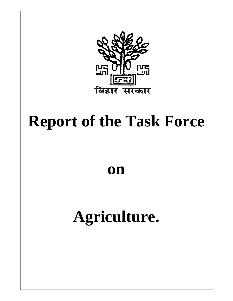

# **Report of the Task Force**

**on** 

# **Agriculture.**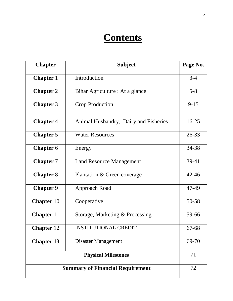# **Contents**

| <b>Chapter</b>    | <b>Subject</b>                          | Page No.  |
|-------------------|-----------------------------------------|-----------|
| <b>Chapter</b> 1  | Introduction                            | $3 - 4$   |
| <b>Chapter 2</b>  | Bihar Agriculture : At a glance         | $5 - 8$   |
| <b>Chapter 3</b>  | <b>Crop Production</b>                  | $9 - 15$  |
| <b>Chapter 4</b>  | Animal Husbandry, Dairy and Fisheries   | $16 - 25$ |
| <b>Chapter 5</b>  | <b>Water Resources</b>                  | 26-33     |
| <b>Chapter 6</b>  | Energy                                  | 34-38     |
| <b>Chapter 7</b>  | <b>Land Resource Management</b>         | 39-41     |
| <b>Chapter 8</b>  | Plantation & Green coverage             | $42 - 46$ |
| <b>Chapter 9</b>  | Approach Road                           | 47-49     |
| <b>Chapter</b> 10 | Cooperative                             | 50-58     |
| <b>Chapter</b> 11 | Storage, Marketing & Processing         | 59-66     |
| <b>Chapter</b> 12 | <b>INSTITUTIONAL CREDIT</b>             | 67-68     |
| <b>Chapter 13</b> | Disaster Management                     | 69-70     |
|                   | <b>Physical Milestones</b>              | 71        |
|                   | <b>Summary of Financial Requirement</b> | 72        |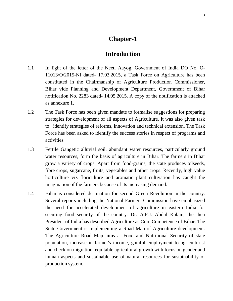#### **Chapter-1**

#### **Introduction**

- 1.1 In light of the letter of the Neeti Aayog, Government of India DO No. O-11013/O/2015-NI dated- 17.03.2015, a Task Force on Agriculture has been constituted in the Chairmanship of Agriculture Production Commissioner, Bihar vide Planning and Development Department, Government of Bihar notification No. 2283 dated- 14.05.2015. A copy of the notification is attached as annexure 1.
- 1.2 The Task Force has been given mandate to formalise suggestions for preparing strategies for development of all aspects of Agriculture. It was also given task to identify strategies of reforms, innovation and technical extension. The Task Force has been asked to identify the success stories in respect of programs and activities.
- 1.3 Fertile Gangetic alluvial soil, abundant water resources, particularly ground water resources, form the basis of agriculture in Bihar. The farmers in Bihar grow a variety of crops. Apart from food-grains, the state produces oilseeds, fibre crops, sugarcane, fruits, vegetables and other crops. Recently, high value horticulture viz floriculture and aromatic plant cultivation has caught the imagination of the farmers because of its increasing demand.
- 1.4 Bihar is considered destination for second Green Revolution in the country. Several reports including the National Farmers Commission have emphasized the need for accelerated development of agriculture in eastern India for securing food security of the country. Dr. A.P.J. Abdul Kalam, the then President of India has described Agriculture as Core Competence of Bihar. The State Government is implementing a Road Map of Agriculture development. The Agriculture Road Map aims at Food and Nutritional Security of state population, increase in farmer's income, gainful employment to agriculturist and check on migration, equitable agricultural growth with focus on gender and human aspects and sustainable use of natural resources for sustainability of production system.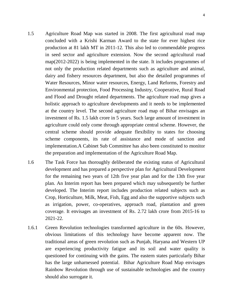- 1.5 Agriculture Road Map was started in 2008. The first agricultural road map concluded with a Krishi Karman Award to the state for ever highest rice production at 81 lakh MT in 2011-12. This also led to commendable progress in seed sector and agriculture extension. Now the second agricultural road map(2012-2022) is being implemented in the state. It includes programmes of not only the production related departments such as agriculture and animal, dairy and fishery resources department, but also the detailed programmes of Water Resources, Minor water resources, Energy, Land Reforms, Forestry and Environmental protection, Food Processing Industry, Cooperative, Rural Road and Flood and Drought related departments. The agriculture road map gives a holistic approach to agriculture developments and it needs to be implemented at the country level. The second agriculture road map of Bihar envisages an investment of Rs. 1.5 lakh crore in 5 years. Such large amount of investment in agriculture could only come through appropriate central scheme. However, the central scheme should provide adequate flexibility to states for choosing scheme components, its rate of assistance and mode of sanction and implementation.A Cabinet Sub Committee has also been constituted to monitor the preparation and implementation of the Agriculture Road Map.
- 1.6 The Task Force has thoroughly deliberated the existing status of Agricultural development and has prepared a perspective plan for Agricultural Development for the remaining two years of 12th five year plan and for the 13th five year plan. An Interim report has been prepared which may subsequently be further developed. The Interim report includes production related subjects such as Crop, Horticulture, Milk, Meat, Fish, Egg and also the supportive subjects such as irrigation, power, co-operatives, approach road, plantation and green coverage. It envisages an investment of Rs. 2.72 lakh crore from 2015-16 to 2021-22.
- 1.6.1 Green Revolution technologies transformed agriculture in the 60s. However, obvious limitations of this technology have become apparent now. The traditional areas of green revolution such as Punjab, Haryana and Western UP are experiencing productivity fatigue and its soil and water quality is questioned for continuing with the gains. The eastern states particularly Bihar has the large unharnessed potential. Bihar Agriculture Road Map envisages Rainbow Revolution through use of sustainable technologies and the country should also surrogate it.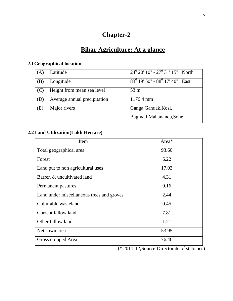# **Chapter-2**

# **Bihar Agriculture: At a glance**

# **2.1Geographical location**

| (A) | Latitude                     | $\frac{1}{24^0}$ 20' 10" - 27 <sup>0</sup> 31' 15" North |
|-----|------------------------------|----------------------------------------------------------|
| (B) | Longitude                    | $83^0$ 19' 50" - $88^0$ 17' 40" East                     |
| (C) | Height from mean sea level   | 53 <sub>m</sub>                                          |
| (D) | Average annual precipitation | 1176.4 mm                                                |
| (E) | Major rivers                 | Ganga, Gandak, Kosi,                                     |
|     |                              | Bagmati, Mahananda, Sone                                 |

# **2.2Land Utilization(Lakh Hectare)**

| Item                                      | Area* |
|-------------------------------------------|-------|
| Total geographical area                   | 93.60 |
| Forest                                    | 6.22  |
| Land put to non agricultural uses         | 17.03 |
| Barren & uncultivated land                | 4.31  |
| Permanent pastures                        | 0.16  |
| Land under miscellaneous trees and groves | 2.44  |
| Culturable wasteland                      | 0.45  |
| Current fallow land                       | 7.81  |
| Other fallow land                         | 1.21  |
| Net sown area                             | 53.95 |
| Gross cropped Area                        | 76.46 |

(\* 2011-12,Source-Directorate of statistics)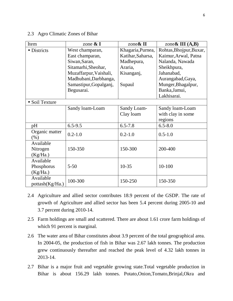#### 2.3 Agro Climatic Zones of Bihar

| Item                      | zone $\&$ I            | zone $\&$ II      | zone & III $(A,B)$      |
|---------------------------|------------------------|-------------------|-------------------------|
| · Districts               | West champaran,        | Khagaria, Purnea, | Rohtas, Bhojpur, Buxar, |
|                           | East champaran,        | Katihar, Saharsa, | Kaimur, Arwal, Patna    |
|                           | Siwan, Saran,          | Madhepura,        | Nalanda, Nawada         |
|                           | Sitamarhi, Sheohar,    | Araria,           | Sheikhpura,             |
|                           | Muzaffarpur, Vaishali, | Kisanganj,        | Jahanabad,              |
|                           | Madhubani, Darbhanga,  |                   | Aurangabad, Gaya,       |
|                           | Samastipur, Gopalganj, | Supaul            | Munger, Bhagalpur,      |
|                           | Begusarai.             |                   | Banka, Jamui,           |
|                           |                        |                   | Lakhisarai.             |
| • Soil Texture            |                        |                   |                         |
|                           | Sandy loam-Loam        | Sandy Loam-       | Sandy loam-Loam         |
|                           |                        | Clay loam         | with clay in some       |
|                           |                        |                   | regions                 |
| pH                        | $6.5 - 9.5$            | $6.5 - 7.8$       | $6.5 - 8.0$             |
| Organic matter<br>$(\% )$ | $0.2 - 1.0$            | $0.2 - 1.0$       | $0.5 - 1.0$             |
| Available                 |                        |                   |                         |
| Nitrogen                  | 150-350                | 150-300           | 200-400                 |
| (Kg/Ha.)                  |                        |                   |                         |
| Available                 |                        |                   |                         |
| Phosphorus                | $5 - 50$               | $10 - 35$         | $10 - 100$              |
| (Kg/Ha.)                  |                        |                   |                         |
| Available                 | 100-300                | 150-250           | 150-350                 |
| pottash(Kg/Ha.)           |                        |                   |                         |

- 2.4 Agriculture and allied sector contributes 18.9 percent of the GSDP. The rate of growth of Agriculture and allied sector has been 5.4 percent during 2005-10 and 3.7 percent during 2010-14.
- 2.5 Farm holdings are small and scattered. There are about 1.61 crore farm holdings of which 91 percent is marginal.
- 2.6 The water area of Bihar constitutes about 3.9 percent of the total geographical area. In 2004-05, the production of fish in Bihar was 2.67 lakh tonnes. The production grew continuously thereafter and reached the peak level of 4.32 lakh tonnes in 2013-14.
- 2.7 Bihar is a major fruit and vegetable growing state.Total vegetable production in Bihar is about 156.29 lakh tonnes. Potato,Onion,Tomato,Brinjal,Okra and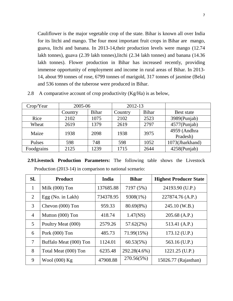Cauliflower is the major vegetable crop of the state. Bihar is known all over India for its litchi and mango. The four most important fruit crops in Bihar are mango, guava, litchi and banana. In 2013-14,their production levels were mango (12.74 lakh tonnes), guava (2.39 lakh tonnes),litchi (2.34 lakh tonnes) and banana (14.36 lakh tonnes). Flower production in Bihar has increased recently, providing immense opportunity of employment and income in rural areas of Bihar. In 2013- 14, about 99 tonnes of rose, 6799 tonnes of marigold, 317 tonnes of jasmine (Bela) and 536 tonnes of the tuberose were produced in Bihar.

| Crop/Year  | 2005-06                       |              | 2012-13 |              |                 |
|------------|-------------------------------|--------------|---------|--------------|-----------------|
|            | Country                       | <b>Bihar</b> | Country | <b>Bihar</b> | Best state      |
| Rice       | 2102                          | 1075         | 2102    | 2523         | 3989(Punjab)    |
| Wheat      | 2619                          | 1379         | 2619    | 2797         | $4577$ (Punjab) |
|            | Maize<br>1938<br>2098<br>1938 |              | 3975    | 4959 (Andhra |                 |
|            |                               |              |         |              | Pradesh)        |
| Pulses     | 598                           | 748          | 598     | 1052         | 1073(Jharkhand) |
| Foodgrains | 2125                          | 1239         | 1715    | 2644         | 4258(Punjab)    |

2.8 A comparative account of crop productivity (Kg/Ha) is as below,

**2.9Livestock Production Parameters:** The following table shows the Livestock Production (2013-14) in comparison to national scenario:

| SI.            | <b>Product</b>         | India     | <b>Bihar</b> | <b>Highest Producer State</b> |
|----------------|------------------------|-----------|--------------|-------------------------------|
| 1              | Milk $(000)$ Ton       | 137685.88 | 7197 (5%)    | 24193.90 (U.P.)               |
| 2              | Egg (No. in Lakh)      | 734378.95 | 9308(1%)     | 227874.76 (A.P.)              |
| 3              | Chevon (000) Ton       | 959.33    | $80.69(8\%)$ | 245.10 (W.B.)                 |
| $\overline{4}$ | Mutton (000) Ton       | 418.74    | 1.47(NS)     | $205.68$ (A.P.)               |
| 5              | Poultry Meat (000)     | 2579.26   | 57.62(2%)    | 513.41 (A.P.)                 |
| 6              | Pork $(000)$ Ton       | 485.73    | 71.99(15%)   | $173.12$ (U.P.)               |
| $\tau$         | Buffalo Meat (000) Ton | 1124.01   | 60.53(5%)    | 563.16 (U.P.)                 |
| 8              | Total Meat (000) Ton   | 6235.48   | 292.28(4.6%) | 1221.25 (U.P.)                |
| 9              | Wool $(000)$ Kg        | 47908.88  | 270.56(5%)   | 15026.77 (Rajasthan)          |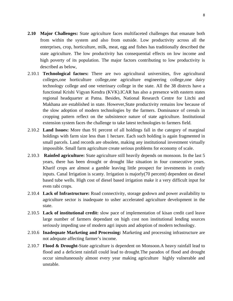- **2.10 Major Challenges:** State agriculture faces multifaceted challenges that emanate both from within the system and also from outside. Low productivity across all the enterprises, crop, horticulture, milk, meat, egg and fishes has traditionally described the state agriculture. The low productivity has consequential effects on low income and high poverty of its population. The major factors contributing to low productivity is described as below,
- 2.10.1 **Technological factors:** There are two agricultural universities, five agricultural colleges,one horticulture college,one agriculture engineering college,one dairy technology college and one veterinary college in the state. All the 38 distrcts have a functional Krishi Vigyan Kendra (KVK).ICAR has also a presence with eastern states regional headquarter at Patna. Besides, National Research Centre for Litchi and Makhana are established in state. However,State productivity remains low because of the slow adoption of modern technologies by the farmers. Dominance of cereals in cropping pattern reflect on the subsistence nature of state agriculture. Institutional extension system faces the challenge to take latest technologies to farmers field.
- 2.10.2 **Land Issues:** More than 91 percent of all holdings fall in the category of marginal holdings with farm size less than 1 hectare. Each such holding is again fragmented in small parcels. Land records are obsolete, making any institutional investment virtually impossible. Small farm agriculture create serious problems for economy of scale.
- 2.10.3 **Rainfed agriculture:** State agriculture still heavily depends on monsoon. In the last 5 years, there has been drought or drought like situation in four consecutive years. Kharif crops are almost a gamble leaving little prospect for investments in costly inputs. Canal Irrigation is scanty. Irrigation is majorly(70 percent) dependent on diesel based tube wells. High cost of diesel based irrigation make it a very difficult input for even rabi crops.
- 2.10.4 **Lack of Infrastructure:** Road connectivity, storage godown and power availability to agriculture sector is inadequate to usher accelerated agriculture development in the state.
- 2.10.5 **Lack of institutional credit:** slow pace of implementation of kisan credit card leave large number of farmers dependant on high cost non institutional lending sources seriously impeding use of modern agri inputs and adoption of modern technology.
- 2.10.6 **Inadequate Marketing and Processing:** Marketing and processing infrastructure are not adequate affecting farmer's income.
- 2.10.7 **Flood & Drought-**State agriculture is dependent on Monsoon.A heavy rainfall lead to flood and a deficient rainfall could lead to drought.The paradox of flood and drought occur simultaneously almost every year making agriculture highly vulnerable and unstable.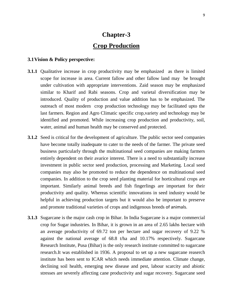# **Chapter-3 Crop Production**

#### **3.1Vision & Policy perspective:**

- **3.1.1** Qualitative increase in crop productivity may be emphasized as there is limited scope for increase in area. Current fallow and other fallow land may be brought under cultivation with appropriate interventions. Zaid season may be emphasized similar to Kharif and Rabi seasons. Crop and varietal diversification may be introduced. Quality of production and value addition has to be emphasized. The outreach of most modern crop production technology may be facilitated upto the last farmers. Region and Agro Climatic specific crop,variety and technology may be identified and promoted. While increasing crop production and productivity, soil, water, animal and human health may be conserved and protected.
- **3.1.2** Seed is critical for the development of agriculture. The public sector seed companies have become totally inadequate to cater to the needs of the farmer. The private seed business particularly through the multinational seed companies are making farmers entirely dependent on their avarice interest. There is a need to substantially increase investment in public sector seed production, processing and Marketing. Local seed companies may also be promoted to reduce the dependence on multinational seed companies. In addition to the crop seed planting material for horticultural crops are important. Similarly animal breeds and fish fingerlings are important for their productivity and quality. Whereas scientific innovations in seed industry would be helpful in achieving production targets but it would also be important to preserve and promote traditional varieties of crops and indigenous breeds of animals.
- **3.1.3** Sugarcane is the major cash crop in Bihar. In India Sugarcane is a major commercial crop for Sugar industries. In Bihar, it is grown in an area of 2.65 lakhs hectare with an average productivity of 69.72 ton per hectare and sugar recovery of 9.22 % against the national average of 68.8 t/ha and 10.17% respectively. Sugarcane Research Institute, Pusa (Bihar) is the only research institute committed to sugarcane research.It was established in 1936. A proposal to set up a new sugarcane reaserch institute has been sent to ICAR which needs immediate attention. Climate change, declining soil health, emerging new disease and pest, labour scarcity and abiotic stresses are severely affecting cane productivity and sugar recovery. Sugarcane seed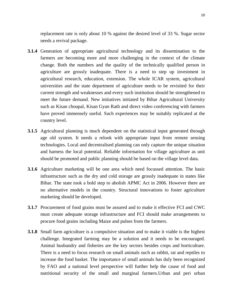replacement rate is only about 10 % against the desired level of 33 %. Sugar sector needs a revival package.

- **3.1.4** Generation of appropriate agricultural technology and its dissemination to the farmers are becoming more and more challenging in the context of the climate change. Both the numbers and the quality of the technically qualified person in agriculture are grossly inadequate. There is a need to step up investment in agricultural research, education, extension. The whole ICAR system, agricultural universities and the state department of agriculture needs to be revisited for their current strength and weaknesses and every such institution should be strengthened to meet the future demand. New initiatives initiated by Bihar Agricultural University such as Kisan choupal, Kisan Gyan Rath and direct video conferencing with farmers have proved immensely useful. Such experiences may be suitably replicated at the country level.
- **3.1.5** Agricultural planning is much dependent on the statistical input generated through age old system. It needs a relook with appropriate input from remote sensing technologies. Local and decentralised planning can only capture the unique situation and harness the local potential. Reliable information for village agriculture as unit should be promoted and public planning should be based on the village level data.
- **3.1.6** Agriculture marketing will be one area which need focussed attention. The basic infrastructure such as the dry and cold storage are grossly inadequate in states like Bihar. The state took a bold step to abolish APMC Act in 2006. However there are no alternative models in the country. Structural innovations to foster agriculture marketing should be developed.
- **3.1.7** Procurement of food grains must be assured and to make it effective FCI and CWC must create adequate storage infrastructure and FCI should make arrangements to procure food grains including Maize and pulses from the farmers.
- **3.1.8** Small farm agriculture is a compulsive situation and to make it viable is the highest challenge. Integrated farming may be a solution and it needs to be encouraged. Animal husbandry and fisheries are the key sectors besides crops and horticulture. There is a need to focus research on small animals such as rabbit, rat and reptiles to increase the food basket. The importance of small animals has duly been recognized by FAO and a national level perspective will further help the cause of food and nutritional security of the small and marginal farmers.Urban and peri urban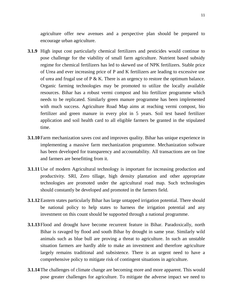agriculture offer new avenues and a perspective plan should be prepared to encourage urban agriculture.

- **3.1.9** High input cost particularly chemical fertilizers and pesticides would continue to pose challenge for the viability of small farm agriculture. Nutrient based subsidy regime for chemical fertilizers has led to skewed use of NPK fertilizers. Stable price of Urea and ever increasing price of P and K fertilizers are leading to excessive use of urea and frugal use of P & K. There is an urgency to restore the optimum balance. Organic farming technologies may be promoted to utilize the locally available resources. Bihar has a robust vermi compost and bio fertilizer programme which needs to be replicated. Similarly green manure programme has been implemented with much success. Agriculture Road Map aims at reaching vermi compost, bio fertilizer and green manure in every plot in 5 years. Soil test based fertilizer application and soil health card to all eligible farmers be granted in the stipulated time.
- **3.1.10** Farm mechanization saves cost and improves quality. Bihar has unique experience in implementing a massive farm mechanization programme. Mechanization software has been developed for transparency and accountability. All transactions are on line and farmers are benefitting from it.
- **3.1.11** Use of modern Agricultural technology is important for increasing production and productivity. SRI, Zero tillage, high density plantation and other appropriate technologies are promoted under the agricultural road map. Such technologies should constantly be developed and promoted in the farmers field.
- **3.1.12**Eastern states particularly Bihar has large untapped irrigation potential. There should be national policy to help states to harness the irrigation potential and any investment on this count should be supported through a national programme.
- **3.1.13** Flood and drought have become recurrent feature in Bihar. Paradoxically, north Bihar is ravaged by flood and south Bihar by drought in same year. Similarly wild animals such as blue bull are proving a threat to agriculture. In such an unstable situation farmers are hardly able to make an investment and therefore agriculture largely remains traditional and subsistence. There is an urgent need to have a comprehensive policy to mitigate risk of contingent situations in agriculture.
- **3.1.14**The challenges of climate change are becoming more and more apparent. This would pose greater challenges for agriculture. To mitigate the adverse impact we need to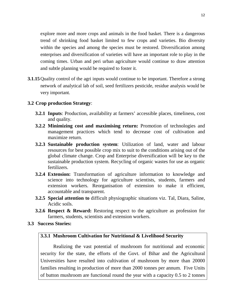explore more and more crops and animals in the food basket. There is a dangerous trend of shrinking food basket limited to few crops and varieties. Bio diversity within the species and among the species must be restored. Diversification among enterprises and diversification of varieties will have an important role to play in the coming times. Urban and peri urban agriculture would continue to draw attention and subtle planning would be required to foster it.

**3.1.15** Quality control of the agri inputs would continue to be important. Therefore a strong network of analytical lab of soil, seed fertilizers pesticide, residue analysis would be very important.

#### **3.2 Crop production Strategy**:

- **3.2.1 Inputs**: Production, availability at farmers' accessible places, timeliness, cost and quality.
- **3.2.2 Minimizing cost and maximising return:** Promotion of technologies and management practices which tend to decrease cost of cultivation and maximize return.
- **3.2.3 Sustainable production system**: Utilization of land, water and labour resources for best possible crop mix to suit to the conditions arising out of the global climate change. Crop and Enterprise diversification will be key to the sustainable production system. Recycling of organic wastes for use as organic fertilizers.
- **3.2.4 Extension:** Transformation of agriculture information to knowledge and science into technology for agriculture scientists, students, farmers and extension workers. Reorganisation of extension to make it efficient, accountable and transparent.
- **3.2.5 Special attention to** difficult physiographic situations viz. Tal, Diara, Saline, Acidic soils.
- **3.2.6 Respect & Reward:** Restoring respect to the agriculture as profession for farmers, students, scientists and extension workers.
- **3.3 Success Stories:**

#### **3.3.1 Mushroom Cultivation for Nutritional & Livelihood Security**

Realizing the vast potential of mushroom for nutritional and economic security for the state, the efforts of the Govt. of Bihar and the Agricultural Universities have resulted into cultivation of mushroom by more than 20000 families resulting in production of more than 2000 tonnes per annum. Five Units of button mushroom are functional round the year with a capacity 0.5 to 2 tonnes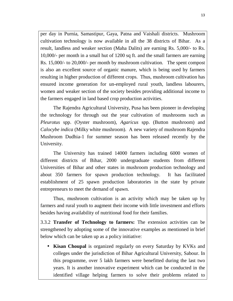per day in Purnia, Samastipur, Gaya, Patna and Vaishali districts. Mushroom cultivation technology is now available in all the 38 districts of Bihar. As a result, landless and weaker section (Maha Dalits) are earning Rs. 5,000/- to Rs. 10,000/- per month in a small hut of 1200 sq ft. and the small farmers are earning Rs. 15,000/- to 20,000/- per month by mushroom cultivation. The spent compost is also an excellent source of organic manure, which is being used by farmers resulting in higher production of different crops. Thus, mushroom cultivation has ensured income generation for un-employed rural youth, landless labourers, women and weaker section of the society besides providing additional income to the farmers engaged in land based crop production activities.

The Rajendra Agricultural University, Pusa has been pioneer in developing the technology for through out the year cultivation of mushrooms such as *Pleurotus* spp. (Oyster mushroom), *Agaricus* spp. (Button mushroom) and *Calocybe indica* (Milky white mushroom). A new variety of mushroom Rajendra Mushroom Dudhia-1 for summer season has been released recently by the University.

The University has trained 14000 farmers including 6000 women of different districts of Bihar, 2000 undergraduate students from different Universities of Bihar and other states in mushroom production technology and about 350 farmers for spawn production technology. It has facilitated establishment of 25 spawn production laboratories in the state by private entrepreneurs to meet the demand of spawn.

Thus, mushroom cultivation is an activity which may be taken up by farmers and rural youth to augment their income with little investment and efforts besides having availability of nutritional food for their families.

3.3.2 **Transfer of Technology to farmers:** The extension activities can be strengthened by adopting some of the innovative examples as mentioned in brief below which can be taken up as a policy initiative:

• **Kisan Choupal** is organized regularly on every Saturday by KVKs and colleges under the jurisdiction of Bihar Agricultural University, Sabour. In this programme, over 5 lakh farmers were benefitted during the last two years. It is another innovative experiment which can be conducted in the identified village helping farmers to solve their problems related to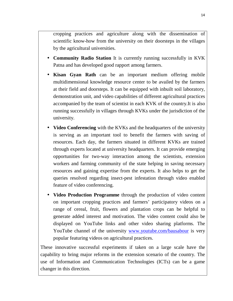cropping practices and agriculture along with the dissemination of scientific know-how from the university on their doorsteps in the villages by the agricultural universities.

- **Community Radio Station** It is currently running successfully in KVK Patna and has developed good rapport among farmers.
- **Kisan Gyan Rath** can be an important medium offering mobile multidimensional knowledge resource center to be availed by the farmers at their field and doorsteps. It can be equipped with inbuilt soil laboratory, demonstration unit, and video capabilities of different agricultural practices accompanied by the team of scientist in each KVK of the country.It is also running successfully in villages through KVKs under the jurisdiction of the university.
- **Video Conferencing** with the KVKs and the headquarters of the university is serving as an important tool to benefit the farmers with saving of resources. Each day, the farmers situated in different KVKs are trained through experts located at university headquarters. It can provide emerging opportunities for two-way interaction among the scientists, extension workers and farming community of the state helping in saving necessary resources and gaining expertise from the experts. It also helps to get the queries resolved regarding insect-pest infestation through video enabled feature of video conferencing.
- **Video Production Programme** through the production of video content on important cropping practices and farmers' participatory videos on a range of cereal, fruit, flowers and plantation crops can be helpful to generate added interest and motivation. The video content could also be displayed on YouTube links and other video sharing platforms. The YouTube channel of the university www.youtube.com/bausabour is very popular featuring videos on agricultural practices.

These innovative successful experiments if taken on a large scale have the capability to bring major reforms in the extension scenario of the country. The use of Information and Communication Technologies (ICTs) can be a game changer in this direction.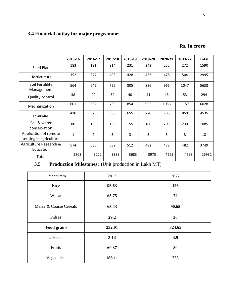# **3.4 Financial outlay for major programme:**

|  |  | <b>Rs. In crore</b> |
|--|--|---------------------|
|--|--|---------------------|

|                                                 | 2015-16      | 2016-17        | 2017-18 | 2018-19        | 2019-20 | 2020-21        | 2011-22 | <b>Total</b> |
|-------------------------------------------------|--------------|----------------|---------|----------------|---------|----------------|---------|--------------|
| Seed Plan                                       | 183          | 191            | 214     | 231            | 243     | 255            | 272     | 1590         |
| Horticulture                                    | 352          | 377            | 403     | 428            | 453     | 478            | 504     | 2995         |
| Soil Fertilility<br>Management                  | 564          | 645            | 725     | 805            | 886     | 966            | 1047    | 5638         |
| Quality control                                 | 38           | 40             | 39      | 40             | 41      | 43             | 53      | 294          |
| Mechanization                                   | 601          | 652            | 753     | 854            | 955     | 1056           | 1157    | 6028         |
| Extension                                       | 410          | 525            | 590     | 655            | 720     | 785            | 850     | 4535         |
| Soil & water<br>conservation                    | 80           | 105            | 130     | 155            | 180     | 205            | 230     | 1085         |
| Application of remote<br>sensing in agriculture | $\mathbf{1}$ | $\overline{2}$ | 3       | $\overline{3}$ | 3       | $\overline{3}$ | 3       | 18           |
| Agriculture Research &<br>Education             | 574          | 685            | 532     | 512            | 492     | 472            | 482     | 3749         |
| Total                                           | 2803         | 3222           | 3388    | 3683           | 3973    | 4263           | 4598    | 25931        |

**3.5 Production Milestones:** (Unit production in Lakh MT)

| Year/Item              | 2017   | 2022   |
|------------------------|--------|--------|
| Rice                   | 93.63  | 126    |
| Wheat                  | 65.75  | 72     |
| Maize & Coarse Cereals | 63.43  | 90.65  |
| Pulses                 | 29.2   | 36     |
| <b>Food grains</b>     | 252.01 | 324.65 |
| Oilseeds               | 3.14   | 4.5    |
| Fruits                 | 60.37  | 80     |
| Vegetables             | 186.11 | 225    |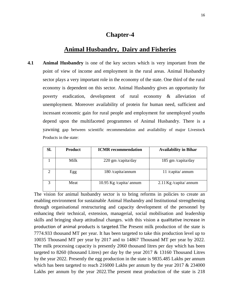#### **Chapter-4**

### **Animal Husbandry, Dairy and Fisheries**

**4.1 Animal Husbandry** is one of the key sectors which is very important from the point of view of income and employment in the rural areas. Animal Husbandry sector plays a very important role in the economy of the state. One third of the rural economy is dependent on this sector. Animal Husbandry gives an opportunity for poverty eradication, development of rural economy & alleviation of unemployment. Moreover availability of protein for human need, sufficient and incessant economic gain for rural people and employment for unemployed youths depend upon the multifaceted programmes of Animal Husbandry. There is a yawning gap between scientific recommendation and availability of major Livestock Products in the state:

| Sl. | <b>Product</b> | <b>ICMR</b> recommendation | <b>Availability in Bihar</b> |
|-----|----------------|----------------------------|------------------------------|
|     | Milk           | 220 gm /capita/day         | 185 gm /capita/day           |
|     | Egg            | 180 /capita/annum          | 11 /capita/ annum            |
|     | Meat           | 10.95 Kg /capita/ annum    | $2.11$ Kg /capita/ annum     |

The vision for animal husbandry sector is to bring reforms in policies to create an enabling environment for sustainable Animal Husbandry and Institutional strengthening through organisational restructuring and capacity development of the personnel by enhancing their technical, extension, managerial, social mobilisation and leadership skills and bringing sharp attitudinal changes. with this vision a qualitative increase in production of animal products is targeted.The Present milk production of the state is 7774.933 thousand MT per year. It has been targeted to take this production level up to 10035 Thousand MT per year by 2017 and to 14867 Thousand MT per year by 2022. The milk processing capacity is presently 2060 thousand litres per day which has been targeted to 8260 (thousand Litres) per day by the year 2017 & 13160 Thousand Litres by the year 2022. Presently the egg production in the state is 9835.485 Lakhs per annum which has been targeted to reach 216000 Lakhs per annum by the year 2017 & 234000 Lakhs per annum by the year 2022.The present meat production of the state is 218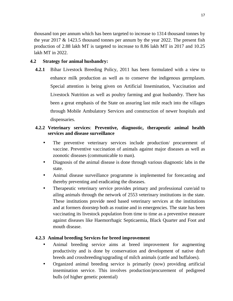thousand ton per annum which has been targeted to increase to 1314 thousand tonnes by the year 2017  $\&$  1423.5 thousand tonnes per annum by the year 2022. The present fish production of 2.88 lakh MT is targeted to increase to 8.86 lakh MT in 2017 and 10.25 lakh MT in 2022.

#### **4.2 Strategy for animal husbandry:**

**4.2.1** Bihar Livestock Breeding Policy, 2011 has been formulated with a view to enhance milk production as well as to conserve the indigenous germplasm. Special attention is being given on Artificial Insemination, Vaccination and Livestock Nutrition as well as poultry farming and goat husbandry. There has been a great emphasis of the State on assuring last mile reach into the villages through Mobile Ambulatory Services and construction of newer hospitals and dispensaries.

#### **4.2.2 Veterinary services**: **Preventive, diagnostic, therapeutic animal health services and disease surveillance**

- The preventive veterinary services include production/ procurement of vaccine. Preventive vaccination of animals against major diseases as well as zoonotic diseases (communicable to man).
- Diagnosis of the animal disease is done through various diagnostic labs in the state.
- Animal disease surveillance programme is implemented for forecasting and thereby preventing and eradicating the diseases.
- Therapeutic veterinary service provides primary and professional cure/aid to ailing animals through the network of 2553 veterinary institutions in the state. These institutions provide need based veterinary services at the institutions and at formers doorstep both as routine and in emergencies. The state has been vaccinating its livestock population from time to time as a preventive measure against diseases like Haemorrhagic Septicaemia, Black Quarter and Foot and mouth disease.

#### **4.2.3 Animal breeding Services for breed improvement**

- Animal breeding service aims at breed improvement for augmenting productivity and is done by conservation and development of native draft breeds and crossbreeding/upgrading of milch animals (cattle and buffaloes).
- Organized animal breeding service is primarily (now) providing artificial insemination service. This involves production/procurement of pedigreed bulls (of higher genetic potential)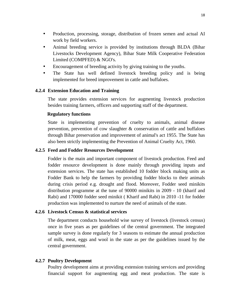- Production, processing, storage, distribution of frozen semen and actual AI work by field workers.
- Animal breeding service is provided by institutions through BLDA (Bihar) Livestocks Development Agency), Bihar State Milk Cooperative Federation Limited (COMPFED) & NGO's.
- Encouragement of breeding activity by giving training to the youths.
- The State has well defined livestock breeding policy and is being implemented for breed improvement in cattle and buffaloes.

#### **4.2.4 Extension Education and Training**

The state provides extension services for augmenting livestock production besides training farmers, officers and supporting staff of the department.

#### **Regulatory functions**

State is implementing prevention of cruelty to animals, animal disease prevention, prevention of cow slaughter & conservation of cattle and buffaloes through Bihar preservation and improvement of animal's act 1955. The State has also been strictly implementing the Prevention of Animal Cruelty Act, 1960.

#### **4.2.5 Feed and Fodder Resources Development**

Fodder is the main and important component of livestock production. Feed and fodder resource development is done mainly through providing inputs and extension services. The state has established 10 fodder block making units as Fodder Bank to help the farmers by providing fodder blocks to their animals during crisis period e.g. drought and flood. Moreover, Fodder seed minikits distribution programme at the tune of 90000 minikits in 2009 - 10 (kharif and Rabi) and 170000 fodder seed minikit ( Kharif and Rabi) in 2010 -11 for fodder production was implemented to nurture the need of animals of the state.

#### **4.2.6 Livestock Census & statistical services**

 The department conducts household wise survey of livestock (livestock census) once in five years as per guidelines of the central government. The integrated sample survey is done regularly for 3 seasons to estimate the annual production of milk, meat, eggs and wool in the state as per the guidelines issued by the central government.

#### **4.2.7 Poultry Development**

 Poultry development aims at providing extension training services and providing financial support for augmenting egg and meat production. The state is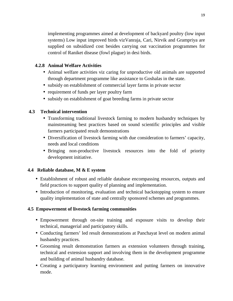implementing programmes aimed at development of backyard poultry (low input systems) Low input improved birds vizVanraja, Cari, Nirvik and Grampriya are supplied on subsidized cost besides carrying out vaccination programmes for control of Raniket disease (fowl plague) in desi birds.

#### **4.2.8 Animal Welfare Activities**

- Animal welfare activities viz caring for unproductive old animals are supported through department programme like assistance to Goshalas in the state.
- subsidy on establishment of commercial layer farms in private sector
- requirement of funds per layer poultry farm
- subsidy on establishment of goat breeding farms in private sector

#### **4.3 Technical intervention**

- Transforming traditional livestock farming to modern husbandry techniques by mainstreaming best practices based on sound scientific principles and visible farmers participated result demonstrations
- Diversification of livestock farming with due consideration to farmers' capacity, needs and local conditions
- Bringing non-productive livestock resources into the fold of priority development initiative.

#### **4.4 Reliable database, M & E system**

- Establishment of robust and reliable database encompassing resources, outputs and field practices to support quality of planning and implementation.
- Introduction of monitoring, evaluation and technical backstopping system to ensure quality implementation of state and centrally sponsored schemes and programmes.

#### **4.5 Empowerment of livestock farming communities**

- Empowerment through on-site training and exposure visits to develop their technical, managerial and participatory skills.
- Conducting farmers' led result demonstrations at Panchayat level on modern animal husbandry practices.
- Grooming result demonstration farmers as extension volunteers through training, technical and extension support and involving them in the development programme and building of animal husbandry database.
- Creating a participatory learning environment and putting farmers on innovative mode.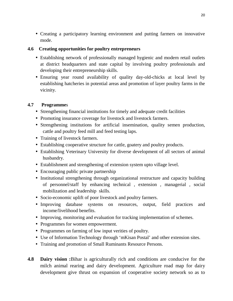• Creating a participatory learning environment and putting farmers on innovative mode.

#### **4.6 Creating opportunities for poultry entrepreneurs**

- Establishing network of professionally managed hygienic and modern retail outlets at district headquarters and state capital by involving poultry professionals and developing their entrepreneurship skills.
- Ensuring year round availability of quality day-old-chicks at local level by establishing hatcheries in potential areas and promotion of layer poultry farms in the vicinity.

#### **4.7 Programme**s

- Strengthening financial institutions for timely and adequate credit facilities
- Promoting insurance coverage for livestock and livestock farmers.
- Strengthening institutions for artificial insemination, quality semen production, cattle and poultry feed mill and feed testing laps.
- Training of livestock farmers.
- Establishing cooperative structure for cattle, goatery and poultry products.
- Establishing Veterinary University for diverse development of all sectors of animal husbandry.
- Establishment and strengthening of extension system upto village level.
- Encouraging public private partnership
- Institutional strengthening through organizational restructure and capacity building of personnel/staff by enhancing technical , extension , managerial , social mobilization and leadership skills.
- Socio-economic uplift of poor livestock and poultry farmers.
- Improving database systems on resources, output, field practices and income/livelihood benefits.
- Improving, monitoring and evaluation for tracking implementation of schemes.
- Programmes for women empowerment.
- Programmes on farming of low input verities of poultry.
- Use of Information Technology through 'mKisan Postal' and other extension sites.
- Training and promotion of Small Ruminants Resource Persons.
- **4.8 Dairy vision :**Bihar is agriculturally rich and conditions are conducive for the milch animal rearing and dairy development. Agriculture road map for dairy development give thrust on expansion of cooperative society network so as to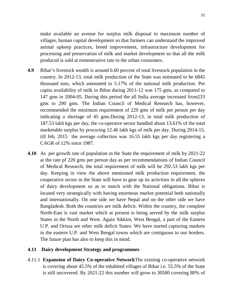make available an avenue for surplus milk disposal in maximum number of villages, human capital development so that farmers can understand the improved animal upkeep practices, breed improvement, infrastructure development for processing and preservation of milk and market development so that all the milk produced is sold at remunerative rate to the urban consumers.

- **4.9** Bihar's livestock wealth is around 6.60 percent of total livestock population in the country. In 2012-13, total milk production of the State was estimated to be 6845 thousand tons, which amounted to 5.17% of the national milk production. Per capita availability of milk in Bihar during 2011-12 was 175 gms, as compared to 147 gms in 2004-05. During this period the all India average increased from233 gms to 290 gms. The Indian Council of Medical Research has, however, recommended the minimum requirement of 220 gms of milk per person per day indicating a shortage of 45 gms.During 2012-13, in total milk production of 187.53 lakh kgs per day, the co-operaive sector handled about 13.61% of the total marketable surplus by procuring 12.46 lakh kgs of milk per day. During 2014-15, till feb, 2015 the average collection was 16.55 lakh kgs per day registering a CAGR of 12% since 1987.
- **4.10** As per growth rate of population in the State the requirement of milk by 2021-22 at the rate pf 220 gms per person day as per recommendations of Indian Council of Medical Research, the total requirement of milk will be 292.53 lakh kgs per day. Keeping in view the above mentioned milk production requirement, the cooperative sector in the State will have to gear up its activities in all the spheres of dairy development so as to match with the National obligations. Bihar is located very strategically with having enormous market potential both nationally and internationally. On one side we have Nepal and on the other side we have Bangladesh. Both the countries are milk deficit. Within the country, the complete North-East is vast market which at present is being served by the milk surplus States in the North and West. Again Sikkim, West Bengal, a part of the Eastern U.P. and Orissa are other milk deficit States. We have started capturing markets in the eastern U.P. and West Bengal towns which are contiguous to our borders. The future plan has also to keep this in mind.

#### **4.11 Dairy development Strategy and programmes**

4.11.1 **Expansion of Dairy Co-operative Network**The existing co-operative network is covering about 45.5% of the inhabited villages of Bihar i.e. 55.5% of the State is still uncovered. By 2021-22 this number will grow to 30500 covering 80% of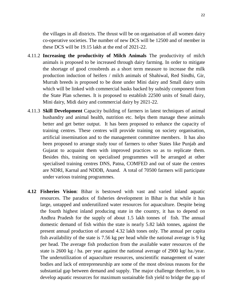the villages in all districts. The thrust will be on organisation of all women dairy co-operative societies. The number of new DCS will be 12500 and of member in these DCS will be 19.15 lakh at the end of 2021-22.

- 4.11.2 **Increasing the productivity of Milch Animals** The productivity of milch animals is proposed to be increased through dairy farming. In order to mitigate the shortage of good crossbreds as a short term measure to increase the milk production induction of heifers / milch animals of Shahiwal, Red Sindhi, Gir, Murrah breeds is proposed to be done under Mini dairy and Small dairy units which will be linked with commercial basks backed by subsidy component from the State Plan schemes. It is proposed to establish 22500 units of Small dairy, Mini dairy, Midi dairy and commercial dairy by 2021-22.
- 4.11.3 **Skill Development** Capacity building of farmers in latest techniques of animal husbandry and animal health, nutrition etc. helps them manage these animals better and get better output. It has been proposed to enhance the capacity of training centres. These centres will provide training on society organisation, artificial insemination and to the management committee members. It has also been proposed to arrange study tour of farmers to other States like Punjab and Gujarat to acquaint them with improved practices so as to replicate them. Besides this, training on specialised programmes will be arranged at other specialised training centres DNS, Patna, COMFED and out of state the centres are NDRI, Karnal and NDDB, Anand. A total of 70500 farmers will participate under various training programmes.
- **4.12 Fisheries Vision**: Bihar is bestowed with vast and varied inland aquatic resources. The paradox of fisheries development in Bihar is that while it has large, untapped and underutilized water resources for aquaculture. Despite being the fourth highest inland producing state in the country, it has to depend on Andhra Pradesh for the supply of about 1.5 lakh tonnes of fish. The annual domestic demand of fish within the state is nearly 5.82 lakh tonnes, against the present annual production of around 4.32 lakh tones only. The annual per capita fish availability of the state is 7.56 kg per head while the national average is 9 kg per head. The average fish production from the available water resources of the state is 2600 kg / ha. per year against the national average of 2900 kg/ ha./year. The underutilization of aquaculture resources, unscientific management of water bodies and lack of entrepreneurship are some of the most obvious reasons for the substantial gap between demand and supply. The major challenge therefore, is to develop aquatic resources for maximum sustainable fish yield to bridge the gap of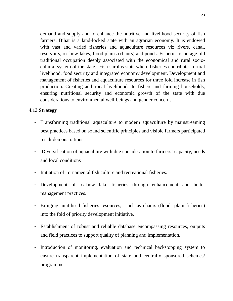demand and supply and to enhance the nutritive and livelihood security of fish farmers. Bihar is a land-locked state with an agrarian economy. It is endowed with vast and varied fisheries and aquaculture resources viz rivers, canal, reservoirs, ox-bow-lakes, flood plains (chaurs) and ponds. Fisheries is an age-old traditional occupation deeply associated with the economical and rural sociocultural system of the state. Fish surplus state where fisheries contribute in rural livelihood, food security and integrated economy development. Development and management of fisheries and aquaculture resources for three fold increase in fish production. Creating additional livelihoods to fishers and farming households, ensuring nutritional security and economic growth of the state with due considerations to environmental well-beings and gender concerns.

#### **4.13 Strategy**

- Transforming traditional aquaculture to modern aquaculture by mainstreaming best practices based on sound scientific principles and visible farmers participated result demonstrations
- Diversification of aquaculture with due consideration to farmers' capacity, needs and local conditions
- Initiation of ornamental fish culture and recreational fisheries.
- Development of ox-bow lake fisheries through enhancement and better management practices.
- Bringing unutilised fisheries resources, such as chaurs (flood- plain fisheries) into the fold of priority development initiative.
- Establishment of robust and reliable database encompassing resources, outputs and field practices to support quality of planning and implementation.
- Introduction of monitoring, evaluation and technical backstopping system to ensure transparent implementation of state and centrally sponsored schemes/ programmes.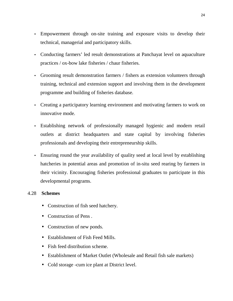- Empowerment through on-site training and exposure visits to develop their technical, managerial and participatory skills.
- Conducting farmers' led result demonstrations at Panchayat level on aquaculture practices / ox-bow lake fisheries / chaur fisheries.
- Grooming result demonstration farmers / fishers as extension volunteers through training, technical and extension support and involving them in the development programme and building of fisheries database.
- Creating a participatory learning environment and motivating farmers to work on innovative mode.
- Establishing network of professionally managed hygienic and modern retail outlets at district headquarters and state capital by involving fisheries professionals and developing their entrepreneurship skills.
- Ensuring round the year availability of quality seed at local level by establishing hatcheries in potential areas and promotion of in-situ seed rearing by farmers in their vicinity. Encouraging fisheries professional graduates to participate in this developmental programs.

#### 4.28 **Schemes**

- Construction of fish seed hatchery.
- Construction of Pens.
- Construction of new ponds.
- Establishment of Fish Feed Mills.
- Fish feed distribution scheme.
- Establishment of Market Outlet (Wholesale and Retail fish sale markets)
- Cold storage -cum ice plant at District level.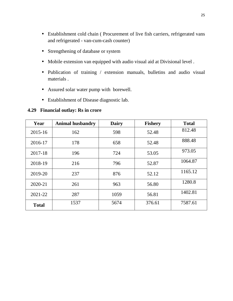- Establishment cold chain ( Procurement of live fish carriers, refrigerated vans and refrigerated - van-cum-cash counter)
- Strengthening of database or system
- Mobile extension van equipped with audio visual aid at Divisional level .
- Publication of training / extension manuals, bulletins and audio visual materials .
- Assured solar water pump with borewell.
- Establishment of Disease diagnostic lab.

#### **4.29 Financial outlay: Rs in crore**

| Year         | <b>Animal husbandry</b> | <b>Dairy</b> | <b>Fishery</b> | <b>Total</b> |
|--------------|-------------------------|--------------|----------------|--------------|
| $2015 - 16$  | 162                     | 598          | 52.48          | 812.48       |
| 2016-17      | 178                     | 658          | 52.48          | 888.48       |
| 2017-18      | 196                     | 724          | 53.05          | 973.05       |
| 2018-19      | 216                     | 796          | 52.87          | 1064.87      |
| 2019-20      | 237                     | 876          | 52.12          | 1165.12      |
| 2020-21      | 261                     | 963          | 56.80          | 1280.8       |
| 2021-22      | 287                     | 1059         | 56.81          | 1402.81      |
| <b>Total</b> | 1537                    | 5674         | 376.61         | 7587.61      |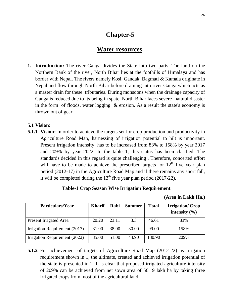# **Chapter-5**

#### **Water resources**

**1. Introduction:** The river Ganga divides the State into two parts. The land on the Northern Bank of the river, North Bihar lies at the foothills of Himalaya and has border with Nepal. The rivers namely Kosi, Gandak, Bagmati & Kamala originate in Nepal and flow through North Bihar before draining into river Ganga which acts as a master drain for these tributaries. During monsoons when the drainage capacity of Ganga is reduced due to its being in spate, North Bihar faces severe natural disaster in the form of floods, water logging & erosion. As a result the state's economy is thrown out of gear.

#### **5.1 Vision:**

**5.1.1 Vision:** In order to achieve the targets set for crop production and productivity in Agriculture Road Map, harnessing of irrigation potential to hilt is important. Present irrigation intensity has to be increased from 83% to 158% by year 2017 and 209% by year 2022. In the table 1, this status has been clarified. The standards decided in this regard is quite challenging . Therefore, concerted effort will have to be made to achieve the prescribed targets for  $12<sup>th</sup>$  five year plan period (2012-17) in the Agriculture Road Map and if there remains any short fall, it will be completed during the  $13<sup>th</sup>$  five year plan period (2017-22).

#### **Table-1 Crop Season Wise Irrigation Requirement**

| (Area in Lakh Ha.) |  |
|--------------------|--|
|--------------------|--|

| Particulars/Year              | <b>Kharif</b> | Rabi  | <b>Summer</b> | <b>Total</b> | <b>Irrigation/Crop</b><br>intensity $(\% )$ |
|-------------------------------|---------------|-------|---------------|--------------|---------------------------------------------|
| Present Irrigated Area        | 20.20         | 23.11 | 3.3           | 46.61        | 83%                                         |
| Irrigation Requirement (2017) | 31.00         | 38.00 | 30.00         | 99.00        | 158%                                        |
| Irrigation Requirement (2022) | 35.00         | 51.00 | 44.90         | 130.90       | 209%                                        |

**5.1.2** For achievement of targets of Agriculture Road Map (2012-22) as irrigation requirement shown in 1, the ultimate, created and achieved irrigation potential of the state is presented in 2. It is clear that proposed irrigated agriculture intensity of 209% can be achieved from net sown area of 56.19 lakh ha by taking three irrigated crops from most of the agricultural land.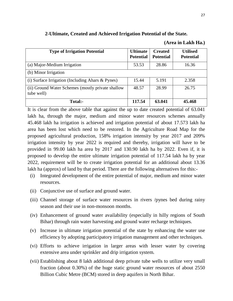| 2-Ultimate, Created and Achieved Irrigation Potential of the State. |  |  |
|---------------------------------------------------------------------|--|--|
|                                                                     |  |  |

#### **(Area in Lakh Ha.)**

| <b>Type of Irrigation Potential</b>                             | <b>Ultimate</b><br><b>Potential</b> | <b>Created</b><br><b>Potential</b> | <b>Utilised</b><br><b>Potential</b> |
|-----------------------------------------------------------------|-------------------------------------|------------------------------------|-------------------------------------|
| (a) Major-Medium Irrigation                                     | 53.53                               | 28.86                              | 16.36                               |
| (b) Minor Irrigation                                            |                                     |                                    |                                     |
| (i) Surface Irrigation (Including Ahars & Pynes)                | 15.44                               | 5.191                              | 2.358                               |
| (ii) Ground Water Schemes (mostly private shallow<br>tube well) | 48.57                               | 28.99                              | 26.75                               |
| Total:-                                                         | 117.54                              | 63.041                             | 45.468                              |

It is clear from the above table that against the up to date created potential of 63.041 lakh ha, through the major, medium and minor water resources schemes annually 45.468 lakh ha irrigation is achieved and irrigation potential of about 17.573 lakh ha area has been lost which need to be restored. In the Agriculture Road Map for the proposed agricultural production, 158% irrigation intensity by year 2017 and 209% irrigation intensity by year 2022 is required and thereby, irrigation will have to be provided in 99.00 lakh ha area by 2017 and 130.90 lakh ha by 2022. Even if, it is proposed to develop the entire ultimate irrigation potential of 117.54 lakh ha by year 2022, requirement will be to create irrigation potential for an additional about 13.36 lakh ha (approx) of land by that period. There are the following alternatives for this:-

- (i) Integrated development of the entire potential of major, medium and minor water resources.
- (ii) Conjunctive use of surface and ground water.
- (iii) Channel storage of surface water resources in rivers /pynes bed during rainy season and their use in non-monsoon months.
- (iv) Enhancement of ground water availability (especially in hilly regions of South Bihar) through rain water harvesting and ground water recharge techniques.
- (v) Increase in ultimate irrigation potential of the state by enhancing the water use efficiency by adopting participatory irrigation management and other techniques.
- (vi) Efforts to achieve irrigation in larger areas with lesser water by covering extensive area under sprinkler and drip irrigation system.
- (vii) Establishing about 8 lakh additional deep private tube wells to utilize very small fraction (about 0.30%) of the huge static ground water resources of about 2550 Billion Cubic Metre (BCM) stored in deep aquifers in North Bihar.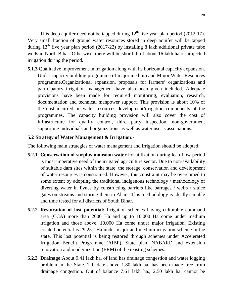This deep aquifer need not be tapped during  $12<sup>th</sup>$  five year plan period (2012-17). Very small fraction of ground water resources stored in deep aquifer will be tapped during  $13<sup>th</sup>$  five year plan period (2017-22) by installing 8 lakh additional private tube wells in North Bihar. Otherwise, there will be shortfall of about 16 lakh ha of projected irrigation during the period.

**5.1.3** Qualitative improvement in irrigation along with its horizontal capacity expansion. Under capacity building programme of major,medium and Minor Water Resources programme.Organizational expansion, proposals for farmers' organizations and participatory irrigation management have also been given included. Adequate provisions have been made for required monitoring, evaluation, research, documentation and technical manpower support. This provision is about 10% of the cost incurred on water resources development/irrigation components of the programmes. The capacity building provision will also cover the cost of infrastructure for quality control, third party inspection, non-government supporting individuals and organizations as well as water user's associations.

#### **5.2 Strategy of Water Management & Irrigation:-**

The following main strategies of water management and irrigation should be adopted:

- **5.2.1 Conservation of surplus monsoon water** for utilization during lean flow period is most imperative need of the irrigated agriculture sector. Due to non-availability of suitable dam sites within the state, the storage, conservation and development of water resources is constrained. However, this constraint may be overcomed to some extent by adopting the traditional indigenous technology / methodology of diverting water in Pynes by constructing barriers like barrages / weirs / sluice gates on streams and storing them in Ahars. This methodology is ideally suitable and time tested for all districts of South Bihar.
- **5.2.2 Restoration of lost potential:** Irrigation schemes having culturable command area (CCA) more than 2000 Ha and up to 10,000 Ha come under medium irrigation and those above, 10,000 Ha come under major irrigation. Existing created potential is 29.25 LHa under major and medium irrigation scheme in the state. This lost potential is being restored through schemes under Accelerated Irrigation Benefit Programme (AIBP), State plan, NABARD and extension renovation and modernization (ERM) of the existing schemes.
- **5.2.3 Drainage:**About 9.41 lakh ha. of land has drainage congestion and water logging problem in the State. Till date above 1.80 lakh ha. has been made free from drainage congestion. Out of balance 7.61 lakh ha., 2.50 lakh ha. cannot be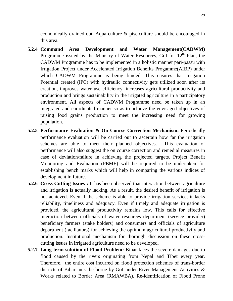economically drained out. Aqua-culture & pisciculture should be encouraged in this area.

- **5.2.4 Command Area Development and Water Management(CADWM)** Programme issued by the Ministry of Water Resources, GoI for  $12<sup>th</sup>$  Plan, the CADWM Programme has to be implemented in a holistic manner pari-passu with Irrigation Project under Accelerated Irrigation Benefits Progamme(AIBP) under which CADWM Programme is being funded. This ensures that Irrigation Potential created (IPC) with hydraulic connectivity gets utilized soon after its creation, improves water use efficiency, increases agricultural productivity and production and brings sustainability in the irrigated agriculture in a participatory environment. All aspects of CADWM Programme need be taken up in an integrated and coordinated manner so as to achieve the envisaged objectives of raising food grains production to meet the increasing need for growing population.
- **5.2.5 Performance Evaluation & On Course Correction Mechanism:** Periodically performance evaluation will be carried out to ascertain how far the irrigation schemes are able to meet their planned objectives. This evaluation of performance will also suggest the on course correction and remedial measures in case of deviation/failure in achieving the projected targets. Project Benefit Monitoring and Evaluation (PBME) will be required to be undertaken for establishing bench marks which will help in comparing the various indices of development in future.
- **5.2.6 Cross Cutting Issues :** It has been observed that interaction between agriculture and irrigation is actually lacking. As a result, the desired benefit of irrigation is not achieved. Even if the scheme is able to provide irrigation service, it lacks reliability, timeliness and adequacy. Even if timely and adequate irrigation is provided, the agricultural productivity remains low. This calls for effective interaction between officials of water resources department (service provider) beneficiary farmers (stake holders) and consumers and officials of agriculture department (facilitators) for achieving the optimum agricultural productivity and production. Institutional mechanism for thorough discussion on these crosscutting issues in irrigated agriculture need to be developed.
- **5.2.7 Long term solution of Flood Problem:** Bihar faces the severe damages due to flood caused by the rivers originating from Nepal and Tibet every year. Therefore, the entire cost incurred on flood protection schemes of trans-border districts of Bihar must be borne by GoI under River Management Activities & Works related to Border Area (RMAWBA). Re-identification of Flood Prone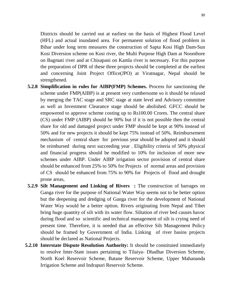Districts should be carried out at earliest on the basis of Highest Flood Level (HFL) and actual inundated area. For permanent solution of flood problem in Bihar under long term measures the construction of Sapta Kosi High Dam-Sun Kosi Diversion scheme on Kosi river, the Multi Purpose High Dam at Noonthore on Bagmati river and at Chisapani on Kamla river is necessary. For this purpose the preparation of DPR of these three projects should be completed at the earliest and concerning Joint Project Office(JPO) at Viratnagar, Nepal should be strengthened.

- **5.2.8 Simplification in rules for AIBP(FMP) Schemes.** Process for sanctioning the scheme under FMP(AIBP) is at present very cumbersome so it should be relaxed by merging the TAC stage and SRC stage at state level and Advisory committee as well as Investment Clearance stage should be abolished. GFCC should be empowered to approve scheme costing up to Rs100.00 Crores. The central share (CS) under FMP (AIBP) should be 90% but if it is not possible then the central share for old and damaged project under FMP should be kept at 90% instead of 50% and for new projects it should be kept 75% instead of 50%. Reimbursement mechanism of central share for previous year should be adopted and it should be reimbursed during next succeeding year . Eligibility criteria of 50% physical and financial progress should be modified to 10% for inclusion of more new schemes under AIBP. Under AIBP irrigation sector provision of central share should be enhanced from 25% to 50% for Projects of normal areas and provision of CS should be enhanced from 75% to 90% for Projects of flood and drought prone areas,
- **5.2.9 Silt Management and Linking of Rivers :** The construction of barrages on Ganga river for the purpose of National Water Way seems not to be better option but the deepening and dredging of Ganga river for the development of National Water Way would be a better option. Rivers originating from Nepal and Tibet bring huge quantity of silt with its water flow. Siltation of river bed causes havoc during flood and so scientific and technical management of silt is crying need of present time. Therefore, it is needed that an effective Silt Management Policy should be framed by Government of India. Linking of river basins projects should be declared as National Projects.
- **5.2.10 Interstate Dispute Resolution Authority:** It should be constituted immediately to resolve Inter-State issues pertaining to Tilaiya- Dhadhar Diversion Scheme, North Koel Reservoir Scheme, Batane Reservoir Scheme, Upper Mahananda Irrigation Scheme and Indrapuri Reservoir Scheme.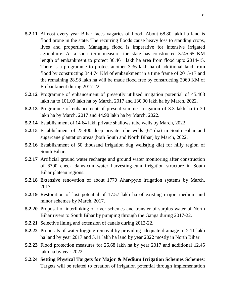- **5.2.11** Almost every year Bihar faces vagaries of flood. About 68.80 lakh ha land is flood prone in the state. The recurring floods cause heavy loss to standing crops, lives and properties. Managing flood is imperative for intensive irrigated agriculture. As a short term measure, the state has constructed 3745.65 KM length of embankment to protect 36.46 lakh ha area from flood upto 2014-15. There is a programme to protect another 3.36 lakh ha of additional land from flood by constructing 344.74 KM of embankment in a time frame of 2015-17 and the remaining 28.98 lakh ha will be made flood free by constructing 2969 KM of Embankment during 2017-22.
- **5.2.12** Programme of enhancement of presently utilized irrigation potential of 45.468 lakh ha to 101.09 lakh ha by March, 2017 and 130.90 lakh ha by March, 2022.
- **5.2.13** Programme of enhancement of present summer irrigation of 3.3 lakh ha to 30 lakh ha by March, 2017 and 44.90 lakh ha by March, 2022.
- **5.2.14** Establishment of 14.64 lakh private shallows tube wells by March, 2022.
- **5.2.15** Establishment of 25,400 deep private tube wells (6" dia) in South Bihar and sugarcane plantation areas (both South and North Bihar) by March, 2022.
- **5.2.16** Establishment of 50 thousand irrigation dug wells(big dia) for hilly region of South Bihar.
- **5.2.17** Artificial ground water recharge and ground water monitoring after construction of 6700 check dams-cum-water harvesting-cum irrigation structure in South Bihar plateau regions.
- **5.2.18** Extensive renovation of about 1770 Ahar-pyne irrigation systems by March, 2017.
- **5.2.19** Restoration of lost potential of 17.57 lakh ha of existing major, medium and minor schemes by March, 2017.
- **5.2.20** Proposal of interlinking of river schemes and transfer of surplus water of North Bihar rivers to South Bihar by pumping through the Ganga during 2017-22.
- **5.2.21** Selective lining and extension of canals during 2012-22.
- **5.2.22** Proposals of water logging removal by providing adequate drainage to 2.11 lakh ha land by year 2017 and 5.11 lakh ha land by year 2022 mostly in North Bihar.
- **5.2.23** Flood protection measures for 26.68 lakh ha by year 2017 and additional 12.45 lakh ha by year 2022.
- **5.2.24 Setting Physical Targets for Major & Medium Irrigation Schemes Schemes**: Targets will be related to creation of irrigation potential through implementation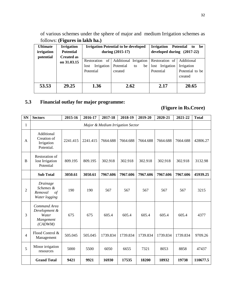of various schemes under the sphere of major and medium Irrigation schemes as follows: **(Figures in lakh ha.)**

| <b>Ultimate</b> | <b>Irrigation</b> |                    | <b>Irrigation Potential to be developed</b> | <b>Irrigation</b>            | <b>Potential</b><br>to<br>be |
|-----------------|-------------------|--------------------|---------------------------------------------|------------------------------|------------------------------|
| irrigation      | <b>Potential</b>  |                    | during (2015-17)                            | developed during $(2017-22)$ |                              |
| potential       | <b>Created as</b> |                    |                                             |                              |                              |
|                 | on 31.03.15       | of<br>Restoration  | Additional Irrigation                       | Restoration of               | Additional                   |
|                 |                   | Irrigation<br>lost | Potential<br>be<br>to                       | lost Irrigation              | Irrigation                   |
|                 |                   | Potential          | created                                     | Potential                    | Potential to be              |
|                 |                   |                    |                                             |                              | created                      |
|                 |                   |                    |                                             |                              |                              |
| 53.53           | 29.25             | 1.36               | 2.62                                        | 2.17                         | 20.65                        |
|                 |                   |                    |                                             |                              |                              |

#### **5.3 Financial outlay for major programme:**

#### **(Figure in Rs.Crore)**

| <b>SN</b>      | <b>Sectors</b>                                                  | 2015-16  | 2016-17  | 2017-18  | 2018-19  | 2019-20  | 2020-21  | 2021-22  | <b>Total</b> |
|----------------|-----------------------------------------------------------------|----------|----------|----------|----------|----------|----------|----------|--------------|
| 1              | Major & Medium Irrigation Sector                                |          |          |          |          |          |          |          |              |
| A              | Additional<br>Creation of<br>Irrigation<br>Potential.           | 2241.415 | 2241.415 | 7664.688 | 7664.688 | 7664.688 | 7664.688 | 7664.688 | 42806.27     |
| $\mathbf B$    | Restoration of<br>lost Irrigation<br>Potential                  | 809.195  | 809.195  | 302.918  | 302.918  | 302.918  | 302.918  | 302.918  | 3132.98      |
|                | <b>Sub Total</b>                                                | 3050.61  | 3050.61  | 7967.606 | 7967.606 | 7967.606 | 7967.606 | 7967.606 | 45939.25     |
| $\overline{c}$ | Drainage<br>Schemes &<br>Removal<br>$\sigma f$<br>Water logging | 190      | 190      | 567      | 567      | 567      | 567      | 567      | 3215         |
| 3              | Command Area<br>Development &<br>Water<br>Mangement<br>(CADWM)  | 675      | 675      | 605.4    | 605.4    | 605.4    | 605.4    | 605.4    | 4377         |
| $\overline{4}$ | Flood Control &<br>Management                                   | 505.045  | 505.045  | 1739.834 | 1739.834 | 1739.834 | 1739.834 | 1739.834 | 9709.26      |
| 5              | Minor irrigation<br>resources                                   | 5000     | 5500     | 6050     | 6655     | 7321     | 8053     | 8858     | 47437        |
|                | <b>Grand Total</b>                                              | 9421     | 9921     | 16930    | 17535    | 18200    | 18932    | 19738    | 110677.5     |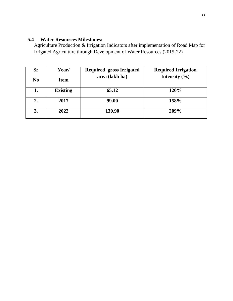#### **5.4 Water Resources Milestones:**

Agriculture Production & Irrigation Indicators after implementation of Road Map for Irrigated Agriculture through Development of Water Resources (2015-22)

| Sr             | Year/           | <b>Required gross Irrigated</b> | <b>Required Irrigation</b> |
|----------------|-----------------|---------------------------------|----------------------------|
| N <sub>0</sub> | <b>Item</b>     | area (lakh ha)                  | Intensity $(\% )$          |
| 1.             | <b>Existing</b> | 65.12                           | 120%                       |
| 2.             | 2017            | <b>99.00</b>                    | 158%                       |
| 3.             | 2022            | 130.90                          | 209%                       |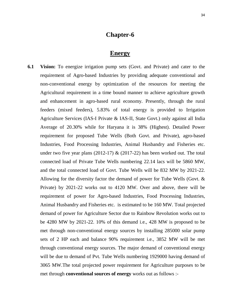### **Chapter-6**

#### **Energy**

**6.1 Vision:** To energize irrigation pump sets (Govt. and Private) and cater to the requirement of Agro-based Industries by providing adequate conventional and non-conventional energy by optimization of the resources for meeting the Agricultural requirement in a time bound manner to achieve agriculture growth and enhancement in agro-based rural economy. Presently, through the rural feeders (mixed feeders), 5.83% of total energy is provided to Irrigation Agriculture Services (IAS-I Private & IAS-II, State Govt.) only against all India Average of 20.30% while for Haryana it is 38% (Highest). Detailed Power requirement for proposed Tube Wells (Both Govt. and Private), agro-based Industries, Food Processing Industries, Animal Husbandry and Fisheries etc. under two five year plans (2012-17)  $\&$  (2017-22) has been worked out. The total connected load of Private Tube Wells numbering 22.14 lacs will be 5860 MW, and the total connected load of Govt. Tube Wells will be 832 MW by 2021-22. Allowing for the diversity factor the demand of power for Tube Wells (Govt. & Private) by 2021-22 works out to 4120 MW. Over and above, there will be requirement of power for Agro-based Industries, Food Processing Industries, Animal Husbandry and Fisheries etc. is estimated to be 160 MW. Total projected demand of power for Agriculture Sector due to Rainbow Revolution works out to be 4280 MW by 2021-22. 10% of this demand i.e., 428 MW is proposed to be met through non-conventional energy sources by installing 285000 solar pump sets of 2 HP each and balance 90% requirement i.e., 3852 MW will be met through conventional energy sources. The major demand of conventional energy will be due to demand of Pvt. Tube Wells numbering 1929000 having demand of 3065 MW.The total projected power requirement for Agriculture purposes to be met through **conventional sources of energy** works out as follows :-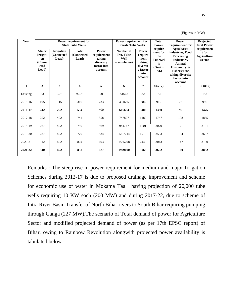| Year         |                                                                  |                                          | Power requirement for<br><b>State Tube Wells</b> |                                                                       | Power requirement for<br><b>Private Tube Wells</b> |                                                                               | <b>Total</b><br><b>Power</b>                                                         | <b>Power</b><br>requirement for<br><b>Agro</b> based                                                                                          | Projected<br>total Power<br>requiremen       |
|--------------|------------------------------------------------------------------|------------------------------------------|--------------------------------------------------|-----------------------------------------------------------------------|----------------------------------------------------|-------------------------------------------------------------------------------|--------------------------------------------------------------------------------------|-----------------------------------------------------------------------------------------------------------------------------------------------|----------------------------------------------|
|              | <b>Minor</b><br><b>Irrigati</b><br>on<br>(Conne<br>cted<br>Load) | <b>Irrigation</b><br>(Connected<br>Load) | <b>Total</b><br>(Connected<br>Load)              | Power<br>requirement<br>taking<br>diversity<br>factor into<br>account | Number of<br>Pvt. Tube<br>Well<br>(cumulative)     | Power<br>require<br>ment<br>taking<br>diversit<br>y factor<br>into<br>account | require<br>ment for<br>the<br><b>Tubewel</b><br>$\mathbf{ls}$<br>$(Govt. +$<br>Pvt.) | industries, Food<br>Processing<br>Industries,<br>Animal<br>Husbandry &<br><b>Fisheries etc.</b><br>taking diversity<br>factor into<br>account | t for<br><b>Agriculture</b><br><b>Sector</b> |
| $\mathbf{1}$ | $\overline{2}$                                                   | 3                                        | $\overline{\mathbf{4}}$                          | 5                                                                     | 6                                                  | $\overline{7}$                                                                | $8(5+7)$                                                                             | 9                                                                                                                                             | $10(8+9)$                                    |
| Existing     | 83                                                               | 9.73                                     | 92.73                                            | 70                                                                    | 51663                                              | 82                                                                            | 152                                                                                  | $\overline{0}$                                                                                                                                | 152                                          |
| 2015-16      | 195                                                              | 115                                      | 310                                              | 233                                                                   | 431665                                             | 686                                                                           | 919                                                                                  | 76                                                                                                                                            | 995                                          |
| 2016-17      | 242                                                              | 292                                      | 534                                              | 400                                                                   | 616663                                             | 980                                                                           | 1380                                                                                 | 95                                                                                                                                            | 1475                                         |
| 2017-18      | 252                                                              | 492                                      | 744                                              | 558                                                                   | 747897                                             | 1189                                                                          | 1747                                                                                 | 108                                                                                                                                           | 1855                                         |
| 2018-19      | 267                                                              | 492                                      | 759                                              | 569                                                                   | 944747                                             | 1501                                                                          | 2070                                                                                 | 121                                                                                                                                           | 2191                                         |
| 2019-20      | 287                                                              | 492                                      | 779                                              | 584                                                                   | 1207214                                            | 1919                                                                          | 2503                                                                                 | 134                                                                                                                                           | 2637                                         |
| 2020-21      | 312                                                              | 492                                      | 804                                              | 603                                                                   | 1535298                                            | 2440                                                                          | 3043                                                                                 | 147                                                                                                                                           | 3190                                         |
| 2021-22      | 340                                                              | 492                                      | 832                                              | 627                                                                   | 1929000                                            | 3065                                                                          | 3692                                                                                 | 160                                                                                                                                           | 3852                                         |

(Figures in MW)

Remarks : The steep rise in power requirement for medium and major Irrigation Schemes during 2012-17 is due to proposed drainage improvement and scheme for economic use of water in Mokama Taal having projection of 20,000 tube wells requiring 10 KW each (200 MW) and during 2017-22, due to scheme of Intra River Basin Transfer of North Bihar rivers to South Bihar requiring pumping through Ganga (227 MW).The scenario of Total demand of power for Agriculture Sector and modified projected demand of power (as per 17th EPSC report) of Bihar, owing to Rainbow Revolution alongwith projected power availability is tabulated below :-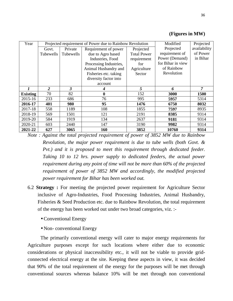| Year            |                |           | Projected requirement of Power due to Rainbow Revolution |                    | Modified          | Projected    |
|-----------------|----------------|-----------|----------------------------------------------------------|--------------------|-------------------|--------------|
|                 | Govt.          | Private   | Requirement of power                                     | Projected          | Projected         | availability |
|                 | Tubewells      | Tubewells | due to Agro based                                        | <b>Total Power</b> | requirement of    | of Power     |
|                 |                |           | Industries, Food                                         | requirement        | Power (Demand)    | in Bihar     |
|                 |                |           | Processing Industries,                                   | for                | for Bihar in view |              |
|                 |                |           | Animal Husbandry and                                     | Agriculture        | of Rainbow        |              |
|                 |                |           | Fisheries etc. taking                                    | Sector             | Revolution        |              |
|                 |                |           | diversity factor into                                    |                    |                   |              |
|                 |                |           | account                                                  |                    |                   |              |
|                 | $\overline{c}$ | 3         | 4                                                        | 5                  | 6                 | 7            |
| <b>Existing</b> | 70             | 82        | $\boldsymbol{0}$                                         | 152                | 3000              | 1500         |
| 2015-16         | 233            | 686       | 76                                                       | 995                | 5957              | 5314         |
| 2016-17         | 401            | 980       | 95                                                       | 1476               | 6750              | 8032         |
| 2017-18         | 558            | 1189      | 108                                                      | 1855               | 7597              | 8935         |
| 2018-19         | 569            | 1501      | 121                                                      | 2191               | 8385              | 9314         |
| 2019-20         | 584            | 1919      | 134                                                      | 2637               | 9181              | 9314         |
| 2020-21         | 603            | 2440      | 147                                                      | 3190               | 9982              | 9314         |
| 2021-22         | 627            | 3065      | 160                                                      | 3852               | 10760             | 9314         |

#### **(Figures in MW)**

*Note : Against the total projected requirement of power of 3852 MW due to Rainbow Revolution, the major power requirement is due to tube wells (both Govt. & Pvt.) and it is proposed to meet this requirement through dedicated feeder. Taking 10 to 12 hrs. power supply to dedicated feeders, the actual power requirement during any point of time will not be more than 60% of the projected requirement of power of 3852 MW and accordingly, the modified projected power requirement for Bihar has been worked out.*

- 6.2 **Strategy :** For meeting the projected power requirement for Agriculture Sector inclusive of Agro-Industries, Food Processing Industries, Animal Husbandry, Fisheries & Seed Production etc. due to Rainbow Revolution, the total requirement of the energy has been worked out under two broad categories, viz. :-
	- Conventional Energy
	- Non-conventional Energy

The primarily conventional energy will cater to major energy requirements for Agriculture purposes except for such locations where either due to economic considerations or physical inaccessibility etc., it will not be viable to provide gridconnected electrical energy at the site. Keeping these aspects in view, it was decided that 90% of the total requirement of the energy for the purposes will be met through conventional sources whereas balance 10% will be met through non conventional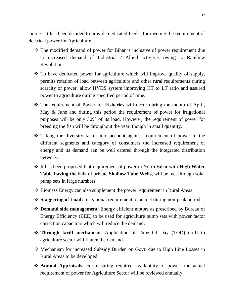sources. It has been decided to provide dedicated feeder for meeting the requirement of electrical power for Agriculture.

- The modified demand of power for Bihar is inclusive of power requirement due to increased demand of Industrial / Allied activities owing to Rainbow Revolution.
- $\hat{\mathbf{v}}$  To have dedicated power for agriculture which will improve quality of supply, permits rotation of load between agriculture and other rural requirements during scarcity of power, allow HVDS system improving HT to LT ratio and assured power to agriculture during specified period of time.
- The requirement of Power for **Fisheries** will occur during the month of April, May & June and during this period the requirement of power for irrigational purposes will be only 30% of its load. However, the requirement of power for breeding the fish will be throughout the year, though in small quantity.
- Taking the diversity factor into account against requirement of power to the different segments and category of consumers the increased requirement of energy and its demand can be well catered through the integrated distribution network.
- It has been proposed that requirement of power in North Bihar with **High Water Table having the** bulk of private **Shallow Tube Wells**, will be met through solar pump sets in large numbers.
- $\triangle$  Biomass Energy can also supplement the power requirement in Rural Areas.
- **Staggering of Load:** Irrigational requirement to be met during non-peak period.
- **Demand side management**: Energy efficient motors as prescribed by Bureau of Energy Efficiency (BEE) to be used for agriculture pump sets with power factor correction capacitors which will reduce the demand.
- **Through tariff mechanism**: Application of Time Of Day (TOD) tariff to agriculture sector will flatten the demand.
- Mechanism for increased Subsidy Burden on Govt. due to High Line Losses in Rural Areas to be developed.
- **Annual Appraisals**: For ensuring required availability of power, the actual requirement of power for Agriculture Sector will be reviewed annually.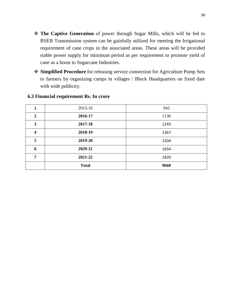- **The Captive Generation** of power through Sugar Mills, which will be fed to BSEB Transmission system can be gainfully utilized for meeting the Irrigational requirement of cane crops in the associated areas. These areas will be provided stable power supply for minimum period as per requirement to promote yield of cane as a boost to Sugarcane Industries.
- **Simplified Procedure** for releasing service connection for Agriculture Pump Sets to farmers by organizing camps in villages / Block Headquarters on fixed date with wide publicity.

|                         | 2015-16      | 942  |
|-------------------------|--------------|------|
| $\overline{2}$          | 2016-17      | 1130 |
| 3                       | 2017-18      | 1243 |
| $\overline{\mathbf{4}}$ | 2018-19      | 1367 |
| 5                       | 2019-20      | 1504 |
| 6                       | 2020-21      | 1654 |
| 7                       | 2021-22      | 1820 |
|                         | <b>Total</b> | 9660 |

#### **6.3 Financial requirement Rs. In crore**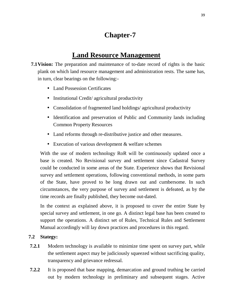# **Chapter-7**

# **Land Resource Management**

- **7.1 Vision:** The preparation and maintenance of to-date record of rights is the basic plank on which land resource management and administration rests. The same has, in turn, clear bearings on the following:-
	- Land Possession Certificates
	- Institutional Credit/ agricultural productivity
	- Consolidation of fragmented land holdings/agricultural productivity
	- Identification and preservation of Public and Community lands including Common Property Resources
	- Land reforms through re-distributive justice and other measures.
	- Execution of various development & welfare schemes

With the use of modern technology RoR will be continuously updated once a base is created. No Revisional survey and settlement since Cadastral Survey could be conducted in some areas of the State. Experience shows that Revisional survey and settlement operations, following conventional methods, in some parts of the State, have proved to be long drawn out and cumbersome. In such circumstances, the very purpose of survey and settlement is defeated, as by the time records are finally published, they become out-dated.

In the context as explained above, it is proposed to cover the entire State by special survey and settlement, in one go. A distinct legal base has been created to support the operations. A distinct set of Rules, Technical Rules and Settlement Manual accordingly will lay down practices and procedures in this regard.

#### **7.2 Stategy:**

- **7.2.1** Modern technology is available to minimize time spent on survey part, while the settlement aspect may be judiciously squeezed without sacrificing quality, transparency and grievance redressal.
- **7.2.2** It is proposed that base mapping, demarcation and ground truthing be carried out by modern technology in preliminary and subsequent stages. Active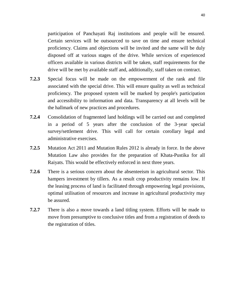participation of Panchayati Raj institutions and people will be ensured. Certain services will be outsourced to save on time and ensure technical proficiency. Claims and objections will be invited and the same will be duly disposed off at various stages of the drive. While services of experienced officers available in various districts will be taken, staff requirements for the drive will be met by available staff and, additionally, staff taken on contract.

- **7.2.3** Special focus will be made on the empowerment of the rank and file associated with the special drive. This will ensure quality as well as technical proficiency. The proposed system will be marked by people's participation and accessibility to information and data. Transparency at all levels will be the hallmark of new practices and procedures.
- **7.2.4** Consolidation of fragmented land holdings will be carried out and completed in a period of 5 years after the conclusion of the 3-year special survey/settlement drive. This will call for certain corollary legal and administrative exercises.
- **7.2.5** Mutation Act 2011 and Mutation Rules 2012 is already in force. In the above Mutation Law also provides for the preparation of Khata-Pustika for all Raiyats. This would be effectively enforced in next three years.
- **7.2.6** There is a serious concern about the absenteeism in agricultural sector. This hampers investment by tillers. As a result crop productivity remains low. If the leasing process of land is facilitated through empowering legal provisions, optimal utilisation of resources and increase in agricultural productivity may be assured.
- **7.2.7** There is also a move towards a land titling system. Efforts will be made to move from presumptive to conclusive titles and from a registration of deeds to the registration of titles.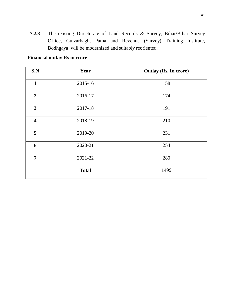**7.2.8** The existing Directorate of Land Records & Survey, Bihar/Bihar Survey Office, Gulzarbagh, Patna and Revenue (Survey) Training Institute, Bodhgaya will be modernized and suitably reoriented.

#### **Financial outlay Rs in crore**

| S.N                     | Year         | <b>Outlay (Rs. In crore)</b> |
|-------------------------|--------------|------------------------------|
| $\mathbf{1}$            | 2015-16      | 158                          |
| $\overline{2}$          | 2016-17      | 174                          |
| $\overline{\mathbf{3}}$ | 2017-18      | 191                          |
| $\overline{\mathbf{4}}$ | 2018-19      | 210                          |
| 5                       | 2019-20      | 231                          |
| 6                       | 2020-21      | 254                          |
| $\overline{7}$          | 2021-22      | 280                          |
|                         | <b>Total</b> | 1499                         |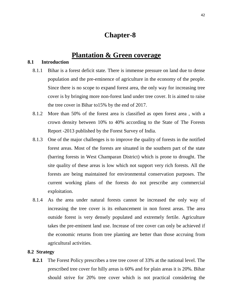# **Chapter-8**

## **Plantation & Green coverage**

#### **8.1 Introduction**

- 8.1.1 Bihar is a forest deficit state. There is immense pressure on land due to dense population and the pre-eminence of agriculture in the economy of the people. Since there is no scope to expand forest area, the only way for increasing tree cover is by bringing more non-forest land under tree cover. It is aimed to raise the tree cover in Bihar to15% by the end of 2017.
- 8.1.2 More than 50% of the forest area is classified as open forest area , with a crown density between 10% to 40% according to the State of The Forests Report -2013 published by the Forest Survey of India.
- 8.1.3 One of the major challenges is to improve the quality of forests in the notified forest areas. Most of the forests are situated in the southern part of the state (barring forests in West Champaran District) which is prone to drought. The site quality of these areas is low which not support very rich forests. All the forests are being maintained for environmental conservation purposes. The current working plans of the forests do not prescribe any commercial exploitation.
- 8.1.4 As the area under natural forests cannot be increased the only way of increasing the tree cover is its enhancement in non forest areas. The area outside forest is very densely populated and extremely fertile. Agriculture takes the pre-eminent land use. Increase of tree cover can only be achieved if the economic returns from tree planting are better than those accruing from agricultural activities.

#### **8.2 Strategy**

**8.2.1** The Forest Policy prescribes a tree tree cover of 33% at the national level. The prescribed tree cover for hilly areas is 60% and for plain areas it is 20%. Bihar should strive for 20% tree cover which is not practical considering the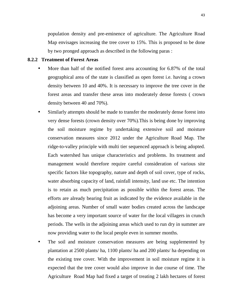population density and pre-eminence of agriculture. The Agriculture Road Map envisages increasing the tree cover to 15%. This is proposed to be done by two pronged approach as described in the following paras :

#### **8.2.2 Treatment of Forest Areas**

- More than half of the notified forest area accounting for 6.87% of the total geographical area of the state is classified as open forest i.e. having a crown density between 10 and 40%. It is necessary to improve the tree cover in the forest areas and transfer these areas into moderately dense forests ( crown density between 40 and 70%).
- Similarly attempts should be made to transfer the moderately dense forest into very dense forests (crown density over 70%).This is being done by improving the soil moisture regime by undertaking extensive soil and moisture conservation measures since 2012 under the Agriculture Road Map. The ridge-to-valley principle with multi tier sequenced approach is being adopted. Each watershed has unique characteristics and problems. Its treatment and management would therefore require careful consideration of various site specific factors like topography, nature and depth of soil cover, type of rocks, water absorbing capacity of land, rainfall intensity, land use etc. The intention is to retain as much precipitation as possible within the forest areas. The efforts are already bearing fruit as indicated by the evidence available in the adjoining areas. Number of small water bodies created across the landscape has become a very important source of water for the local villagers in crunch periods. The wells in the adjoining areas which used to run dry in summer are now providing water to the local people even in summer months.
- The soil and moisture conservation measures are being supplemented by plantation at 2500 plants/ ha, 1100 plants/ ha and 200 plants/ ha depending on the existing tree cover. With the improvement in soil moisture regime it is expected that the tree cover would also improve in due course of time. The Agriculture Road Map had fixed a target of treating 2 lakh hectares of forest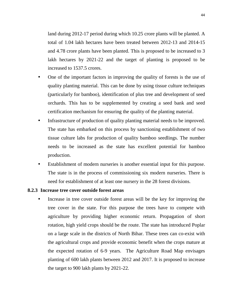land during 2012-17 period during which 10.25 crore plants will be planted. A total of 1.04 lakh hectares have been treated between 2012-13 and 2014-15 and 4.78 crore plants have been planted. This is proposed to be increased to 3 lakh hectares by 2021-22 and the target of planting is proposed to be increased to 1537.5 crores.

- One of the important factors in improving the quality of forests is the use of quality planting material. This can be done by using tissue culture techniques (particularly for bamboo), identification of plus tree and development of seed orchards. This has to be supplemented by creating a seed bank and seed certification mechanism for ensuring the quality of the planting material.
- Infrastructure of production of quality planting material needs to be improved. The state has embarked on this process by sanctioning establishment of two tissue culture labs for production of quality bamboo seedlings. The number needs to be increased as the state has excellent potential for bamboo production.
- Establishment of modern nurseries is another essential input for this purpose. The state is in the process of commissioning six modern nurseries. There is need for establishment of at least one nursery in the 28 forest divisions.

#### **8.2.3 Increase tree cover outside forest areas**

Increase in tree cover outside forest areas will be the key for improving the tree cover in the state. For this purpose the trees have to compete with agriculture by providing higher economic return. Propagation of short rotation, high yield crops should be the route. The state has introduced Poplar on a large scale in the districts of North Bihar. These trees can co-exist with the agricultural crops and provide economic benefit when the crops mature at the expected rotation of 6-9 years. The Agriculture Road Map envisages planting of 600 lakh plants between 2012 and 2017. It is proposed to increase the target to 900 lakh plants by 2021-22.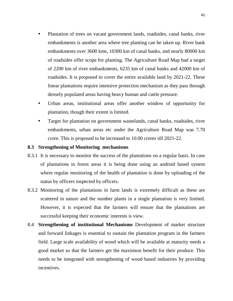- Plantation of trees on vacant government lands, roadsides, canal banks, river embankments is another area where tree planting can be taken up. River bank embankments over 3600 kms, 10300 km of canal banks, and nearly 80000 km of roadsides offer scope for planting. The Agriculture Road Map had a target of 2200 km of river embankments, 6235 km of canal banks and 42000 km of roadsides. It is proposed to cover the entire available land by 2021-22. These linear plantations require intensive protection mechanism as they pass through densely populated areas having heavy human and cattle pressure.
- Urban areas, institutional areas offer another window of opportunity for plantation, though their extent is limited.
- Target for plantation on government wastelands, canal banks, roadsides, river embankments, urban areas etc under the Agriculture Road Map was 7.70 crore. This is proposed to be increased to 10.00 crores till 2021-22.

#### **8.3 Strengthening of Monitoring mechanisms**

- 8.3.1 It is necessary to monitor the success of the plantations on a regular basis. In case of plantations in forest areas it is being done using an android based system where regular monitoring of the health of plantation is done by uploading of the status by officers inspected by officers.
- 8.3.2 Monitoring of the plantations in farm lands is extremely difficult as these are scattered in nature and the number plants in a single plantation is very limited. However, it is expected that the farmers will ensure that the plantations are successful keeping their economic interests is view.
- 8.4 **Strengthening of institutional Mechanisms** Development of market structure and forward linkages is essential to sustain the plantation program in the farmers field. Large scale availability of wood which will be available at maturity needs a good market so that the farmers get the maximum benefit for their produce. This needs to be integrated with strengthening of wood based industries by providing incentives.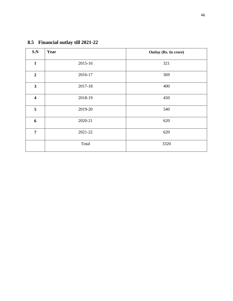| S.N                     | Year    | Outlay (Rs. In crore) |
|-------------------------|---------|-----------------------|
| $\mathbf{1}$            | 2015-16 | 321                   |
| $\overline{2}$          | 2016-17 | 369                   |
| $\mathbf{3}$            | 2017-18 | 400                   |
| $\overline{\mathbf{4}}$ | 2018-19 | 450                   |
| 5                       | 2019-20 | 540                   |
| 6                       | 2020-21 | 620                   |
| $\overline{7}$          | 2021-22 | 620                   |
|                         | Total   | 3320                  |

# **8.5 Financial outlay till 2021-22**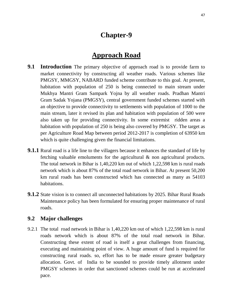# **Chapter-9**

# **Approach Road**

- **9.1 Introduction** The primary objective of approach road is to provide farm to market connectivity by constructing all weather roads. Various schemes like PMGSY, MMGSY, NABARD funded scheme contribute to this goal. At present, habitation with population of 250 is being connected to main stream under Mukhya Mantri Gram Sampark Yojna by all weather roads. Pradhan Mantri Gram Sadak Yojana (PMGSY), central government funded schemes started with an objective to provide connectivity to settlements with population of 1000 to the main stream, later it revised its plan and habitation with population of 500 were also taken up for providing connectivity. In some extremist ridden areas a habitation with population of 250 is being also covered by PMGSY. The target as per Agriculture Road Map between period 2012-2017 is completion of 63950 km which is quite challenging given the financial limitations.
- **9.1.1** Rural road is a life line to the villagers because it enhances the standard of life by fetching valuable emoluments for the agricultural & non agricultural products. The total network in Bihar is 1,40,220 km out of which 1,22,598 km is rural roads network which is about 87% of the total road network in Bihar. At present 50,200 km rural roads has been constructed which has connected as many as 54103 habitations.
- **9.1.2** State vision is to connect all unconnected habitations by 2025. Bihar Rural Roads Maintenance policy has been formulated for ensuring proper maintenance of rural roads.

#### **9.2 Major challenges**

9.2.1 The total road network in Bihar is 1,40,220 km out of which 1,22,598 km is rural roads network which is about 87% of the total road network in Bihar. Constructing these extent of road is itself a great challenges from financing, executing and maintaining point of view. A huge amount of fund is required for constructing rural roads. so, effort has to be made ensure greater budgetary allocation. Govt. of India to be sounded to provide timely allotment under PMGSY schemes in order that sanctioned schemes could be run at accelerated pace.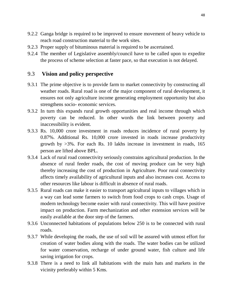- 9.2.2 Ganga bridge is required to be improved to ensure movement of heavy vehicle to reach road construction material to the work sites.
- 9.2.3 Proper supply of bituminous material is required to be ascertained.
- 9.2.4 The member of Legislative assembly/council have to be called upon to expedite the process of scheme selection at faster pace, so that execution is not delayed.

## 9.3 **Vision and policy perspective**

- 9.3.1 The prime objective is to provide farm to market connectivity by constructing all weather roads. Rural road is one of the major component of rural development, it ensures not only agriculture income generating employment opportunity but also strengthens socio- economic services.
- 9.3.2 In turn this expands rural growth opportunities and real income through which poverty can be reduced. In other words the link between poverty and inaccessibility is evident.
- 9.3.3 Rs. 10,000 crore investment in roads reduces incidence of rural poverty by 0.87%. Additional Rs. 10,000 crore invested in roads increase productivity growth by >3%. For each Rs. 10 lakhs increase in investment in roads, 165 person are lifted above BPL.
- 9.3.4 Lack of rural road connectivity seriously constrains agricultural production. In the absence of rural feeder roads, the cost of moving produce can be very high thereby increasing the cost of production in Agriculture. Poor rural connectivity affects timely availability of agricultural inputs and also increases cost. Access to other resources like labour is difficult in absence of rural roads.
- 9.3.5 Rural roads can make it easier to transport agricultural inputs to villages which in a way can lead some farmers to switch from food crops to cash crops. Usage of modern technology become easier with rural connectivity. This will have positive impact on production. Farm mechanization and other extension services will be easily available at the door step of the farmers.
- 9.3.6 Unconnected habitations of populations below 250 is to be connected with rural roads.
- 9.3.7 While developing the roads, the use of soil will be assured with utmost effort for creation of water bodies along with the roads. The water bodies can be utilized for water conservation, recharge of under ground water, fish culture and life saving irrigation for crops.
- 9.3.8 There is a need to link all habitations with the main hats and markets in the vicinity preferably within 5 Kms.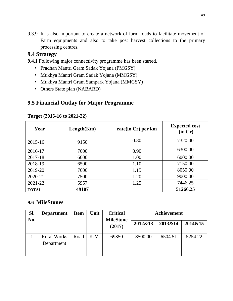9.3.9 It is also important to create a network of farm roads to facilitate movement of Farm equipments and also to take post harvest collections to the primary processing centres.

## **9.4 Strategy**

**9.4.1** Following major connectivity programme has been started,

- Pradhan Mantri Gram Sadak Yojana (PMGSY)
- Mukhya Mantri Gram Sadak Yojana (MMGSY)
- Mukhya Mantri Gram Sampark Yojana (MMGSY)
- Others State plan (NABARD)

## **9.5 Financial Outlay for Major Programme**

| Year         | Length(Km) | rate(in Cr) per km | <b>Expected cost</b><br>(in Cr) |
|--------------|------------|--------------------|---------------------------------|
| 2015-16      | 9150       | 0.80               | 7320.00                         |
| 2016-17      | 7000       | 0.90               | 6300.00                         |
| 2017-18      | 6000       | 1.00               | 6000.00                         |
| 2018-19      | 6500       | 1.10               | 7150.00                         |
| 2019-20      | 7000       | 1.15               | 8050.00                         |
| 2020-21      | 7500       | 1.20               | 9000.00                         |
| 2021-22      | 5957       | 1.25               | 7446.25                         |
| <b>TOTAL</b> | 49107      |                    | 51266.25                        |

#### **Target (2015-16 to 2021-22)**

### **9.6 MileStones**

| Sl.<br>No. | <b>Department</b>                | <b>Item</b> | Unit | <b>Critical</b><br><b>MileStone</b> |         | Achievement |         |
|------------|----------------------------------|-------------|------|-------------------------------------|---------|-------------|---------|
|            |                                  |             |      | (2017)                              | 2012&13 | 2013&14     | 2014&15 |
|            | <b>Rural Works</b><br>Department | Road        | K.M. | 69350                               | 8500.00 | 6504.51     | 5254.22 |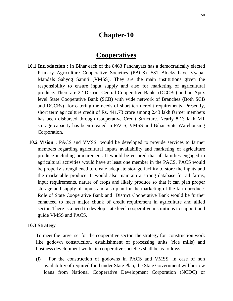# **Chapter-10**

# **Cooperatives**

- **10.1 Introduction :** In Bihar each of the 8463 Panchayats has a democratically elected Primary Agriculture Cooperative Societies (PACS). 531 Blocks have Vyapar Mandals Sahyog Samiti (VMSS). They are the main institutions given the responsibility to ensure input supply and also for marketing of agricultural produce. There are 22 District Central Cooperative Banks (DCCBs) and an Apex level State Cooperative Bank (SCB) with wide network of Branches (Both SCB and DCCBs) for catering the needs of short term credit requirements. Presently, short term agriculture credit of Rs. 441.73 crore among 2.43 lakh farmer members has been disbursed through Cooperative Credit Structure. Nearly 8.13 lakh MT storage capacity has been created in PACS, VMSS and Bihar State Warehousing Corporation.
- **10.2 Vision :** PACS and VMSS would be developed to provide services to farmer members regarding agricultural inputs availability and marketing of agriculture produce including procurement. It would be ensured that all families engaged in agricultural activities would have at least one member in the PACS. PACS would be properly strengthened to create adequate storage facility to store the inputs and the marketable produce. It would also maintain a strong database for all farms, input requirements, nature of crops and likely produce so that it can plan proper storage and supply of inputs and also plan for the marketing of the farm produce. Role of State Cooperative Bank and District Cooperative Bank would be further enhanced to meet major chunk of credit requirement in agriculture and allied sector. There is a need to develop state level cooperative institutions to support and guide VMSS and PACS.

#### **10.3 Strategy**

To meet the target set for the cooperative sector, the strategy for construction work like godown construction, establishment of processing units (rice mills) and business development works in cooperative societies shall be as follows :-

**(i)** For the construction of godowns in PACS and VMSS, in case of non availability of required fund under State Plan, the State Government will borrow loans from National Cooperative Development Corporation (NCDC) or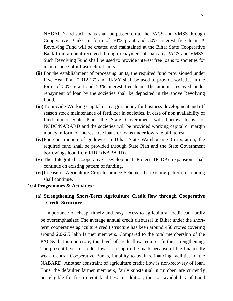NABARD and such loans shall be passed on to the PACS and VMSS through Cooperative Banks in form of 50% grant and 50% interest free loan. A Revolving Fund will be created and maintained at the Bihar State Cooperative Bank from amount received through repayment of loans by PACS and VMSS. Such Revolving Fund shall be used to provide interest free loans to societies for maintenance of infrastructural units.

- **(ii)** For the establishment of processing units, the required fund provisioned under Five Year Plan (2012-17) and RKVY shall be used to provide societies in the form of 50% grant and 50% interest free loan. The amount received under repayment of loan by the societies shall be deposited in the above Revolving Fund.
- **(iii)**To provide Working Capital or margin money for business development and off season stock maintenance of fertilizer in societies, in case of non availability of fund under State Plan, the State Government will borrow loans for NCDC/NABARD and the societies will be provided working capital or margin money in form of interest free loans or loans under low rate of interest.
- **(iv)**For construction of godowns in Bihar State Warehousing Corporation, the required fund shall be provided through State Plan and the State Government borrowings loan from RIDF (NABARD).
- **(v)** The Integrated Cooperative Development Project (ICDP) expansion shall continue on existing pattern of funding.
- **(vi)**In case of Agriculture Crop Insurance Scheme, the existing pattern of funding shall continue.

#### **10.4 Programmes & Activities :**

#### **(a) Strengthening Short-Term Agriculture Credit flow through Cooperative Credit Structure :**

Importance of cheap, timely and easy access to agricultural credit can hardly be overemphasized.The average annual credit disbursal in Bihar under the shortterm cooperative agriculture credit structure has been around 450 crores covering around 2.0-2.5 lakh farmer members. Compared to the total membership of the PACSs that is one crore, this level of credit flow requires further strengthening. The present level of credit flow is not up to the mark because of the financially weak Central Cooperative Banks, inability to avail refinancing facilities of the NABARD. Another constraint of agriculture credit flow is non-recovery of loan. Thus, the defaulter farmer members, fairly substantial in number, are currently not eligible for fresh credit facilities. In addition, the non availability of Land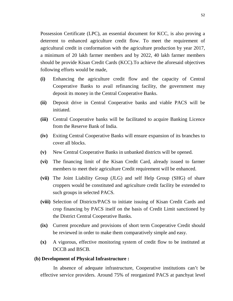Possession Certificate (LPC), an essential document for KCC, is also proving a deterrent to enhanced agriculture credit flow. To meet the requirement of agricultural credit in conformation with the agriculture production by year 2017, a minimum of 20 lakh farmer members and by 2022, 40 lakh farmer members should be provide Kisan Credit Cards (KCC).To achieve the aforesaid objectives following efforts would be made,

- **(i)** Enhancing the agriculture credit flow and the capacity of Central Cooperative Banks to avail refinancing facility, the government may deposit its money in the Central Cooperative Banks.
- **(ii)** Deposit drive in Central Cooperative banks and viable PACS will be initiated.
- **(iii)** Central Cooperative banks will be facilitated to acquire Banking Licence from the Reserve Bank of India.
- **(iv)** Exiting Central Cooperative Banks will ensure expansion of its branches to cover all blocks.
- **(v)** New Central Cooperative Banks in unbanked districts will be opened.
- **(vi)** The financing limit of the Kisan Credit Card, already issued to farmer members to meet their agriculture Credit requirement will be enhanced.
- **(vii)** The Joint Liability Group (JLG) and self Help Group (SHG) of share croppers would be constituted and agriculture credit facility be extended to such groups in selected PACS.
- **(viii)** Selection of Districts/PACS to initiate issuing of Kisan Credit Cards and crop financing by PACS itself on the basis of Credit Limit sanctioned by the District Central Cooperative Banks.
- **(ix)** Current procedure and provisions of short term Cooperative Credit should be reviewed in order to make them comparatively simple and easy.
- **(x)** A vigorous, effective monitoring system of credit flow to be instituted at DCCB and BSCB.

#### **(b) Development of Physical Infrastructure :**

In absence of adequate infrastructure, Cooperative institutions can't be effective service providers. Around 75% of reorganized PACS at panchyat level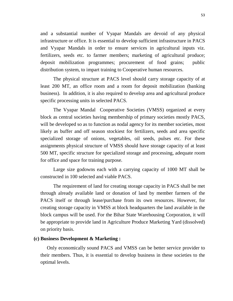and a substantial number of Vyapar Mandals are devoid of any physical infrastructure or office. It is essential to develop sufficient infrastructure in PACS and Vyapar Mandals in order to ensure services in agricultural inputs viz. fertilizers, seeds etc. to farmer members; marketing of agricultural produce; deposit mobilization programmes; procurement of food grains; public distribution system, to impart training to Cooperative human resources.

The physical structure at PACS level should carry storage capacity of at least 200 MT, an office room and a room for deposit mobilization (banking business). In addition, it is also required to develop area and agricultural produce specific processing units in selected PACS.

The Vyapar Mandal Cooperative Societies (VMSS) organized at every block as central societies having membership of primary societies mostly PACS, will be developed so as to function as nodal agency for its member societies, most likely as buffer and off season stockiest for fertilizers, seeds and area specific specialized storage of onions, vegetables, oil seeds, pulses etc. For these assignments physical structure of VMSS should have storage capacity of at least 500 MT, specific structure for specialized storage and processing, adequate room for office and space for training purpose.

Large size godowns each with a carrying capacity of 1000 MT shall be constructed in 100 selected and viable PACS.

The requirement of land for creating storage capacity in PACS shall be met through already available land or donation of land by member farmers of the PACS itself or through lease/purchase from its own resources. However, for creating storage capacity in VMSS at block headquarters the land available in the block campus will be used. For the Bihar State Warehousing Corporation, it will be appropriate to provide land in Agriculture Produce Marketing Yard (dissolved) on priority basis.

#### **(c) Business Development & Marketing :**

Only economically sound PACS and VMSS can be better service provider to their members. Thus, it is essential to develop business in these societies to the optimal levels.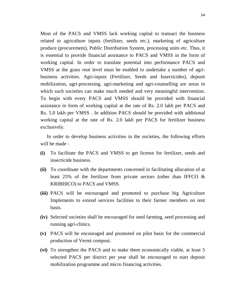Most of the PACS and VMSS lack working capital to transact the business related to agriculture inputs (fertilizer, seeds etc.), marketing of agriculture produce (procurement), Public Distribution System, processing units etc. Thus, it is essential to provide financial assistance to PACS and VMSS in the form of working capital. In order to translate potential into performance PACS and VMSS at the grass root level must be enabled to undertake a number of agribusiness activities. Agri-inputs (Fertilizer, Seeds and Insecticides), deposit mobilization, agri-processing, agri-marketing and agri-counselling are areas in which such societies can make much needed and very meaningful intervention. To begin with every PACS and VMSS should be provided with financial assistance in form of working capital at the rate of Rs. 2.0 lakh per PACS and Rs. 5.0 lakh per VMSS . In addition PACS should be provided with additional working capital at the rate of Rs. 2.0 lakh per PACS for fertilizer business exclusively.

In order to develop business activities in the societies, the following efforts will be made -

- **(i)** To facilitate the PACS and VMSS to get license for fertilizer, seeds and insecticide business.
- **(ii)** To coordinate with the departments concerned in facilitating allocation of at least 25% of the fertilizer from private sectors (other than IFFCO & KRIBHICO) to PACS and VMSS.
- **(iii)** PACS will be encouraged and promoted to purchase big Agriculture Implements to extend services facilities to their farmer members on rent basis.
- **(iv)** Selected societies shall be encouraged for seed farming, seed processing and running agri-clinics.
- **(v)** PACS will be encouraged and promoted on pilot basis for the commercial production of Vermi compost.
- **(vi)** To strengthen the PACS and to make them economically viable, at least 5 selected PACS per district per year shall be encouraged to start deposit mobilization programme and micro financing activities.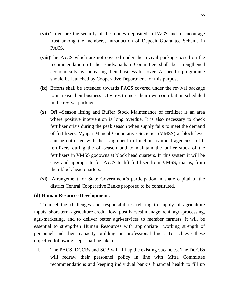- **(vii)** To ensure the security of the money deposited in PACS and to encourage trust among the members, introduction of Deposit Guarantee Scheme in PACS.
- **(viii)**The PACS which are not covered under the revival package based on the recommendation of the Baidyanathan Committee shall be strengthened economically by increasing their business turnover. A specific programme should be launched by Cooperative Department for this purpose.
- **(ix)** Efforts shall be extended towards PACS covered under the revival package to increase their business activities to meet their own contribution scheduled in the revival package.
- **(x)** Off –Season lifting and Buffer Stock Maintenance of fertilizer is an area where positive intervention is long overdue. It is also necessary to check fertilizer crisis during the peak season when supply fails to meet the demand of fertilizers. Vyapar Mandal Cooperative Societies (VMSS) at block level can be entrusted with the assignment to function as nodal agencies to lift fertilizers during the off-season and to maintain the buffer stock of the fertilizers in VMSS godowns at block head quarters. In this system it will be easy and appropriate for PACS to lift fertilizer from VMSS, that is, from their block head quarters.
- **(xi)** Arrangement for State Government's participation in share capital of the district Central Cooperative Banks proposed to be constituted.

#### **(d) Human Resource Development :**

To meet the challenges and responsibilities relating to supply of agriculture inputs, short-term agriculture credit flow, post harvest management, agri-processing, agri-marketing, and to deliver better agri-services to member farmers, it will be essential to strengthen Human Resources with appropriate working strength of personnel and their capacity building on professional lines. To achieve these objective following steps shall be taken –

**I.** The PACS, DCCBs and SCB will fill up the existing vacancies. The DCCBs will redraw their personnel policy in line with Mitra Committee recommendations and keeping individual bank's financial health to fill up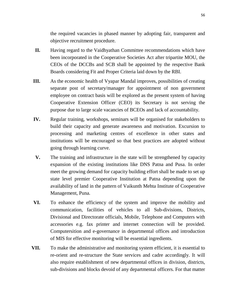the required vacancies in phased manner by adopting fair, transparent and objective recruitment procedure.

- **II.** Having regard to the Vaidhyathan Committee recommendations which have been incorporated in the Cooperative Societies Act after tripartite MOU, the CEOs of the DCCBs and SCB shall be appointed by the respective Bank Boards considering Fit and Proper Criteria laid down by the RBI.
- **III.** As the economic health of Vyapar Mandal improves, possibilities of creating separate post of secretary/manager for appointment of non government employee on contract basis will be explored as the present system of having Cooperative Extension Officer (CEO) its Secretary is not serving the purpose due to large scale vacancies of BCEOs and lack of accountability.
- **IV.** Regular training, workshops, seminars will be organised for stakeholders to build their capacity and generate awareness and motivation. Excursion to processing and marketing centres of excellence in other states and institutions will be encouraged so that best practices are adopted without going through learning curve.
- **V.** The training and infrastructure in the state will be strengthened by capacity expansion of the existing institutions like DNS Patna and Pusa. In order meet the growing demand for capacity building effort shall be made to set up state level premier Cooperative Institution at Patna depending upon the availability of land in the pattern of Vaikunth Mehta Institute of Cooperative Management, Puna.
- **VI.** To enhance the efficiency of the system and improve the mobility and communication, facilities of vehicles to all Sub-divisions, Districts, Divisional and Directorate officials, Mobile, Telephone and Computers with accessories e.g. fax printer and internet connection will be provided. Computersition and e-governance in departmental offices and introduction of MIS for effective monitoring will be essential ingredients.
- **VII.** To make the administrative and monitoring system efficient, it is essential to re-orient and re-structure the State services and cadre accordingly. It will also require establishment of new departmental offices in division, districts, sub-divisions and blocks devoid of any departmental officers. For that matter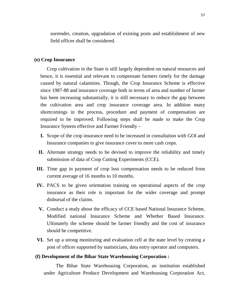surrender, creation, upgradation of existing posts and establishment of new field offices shall be considered.

#### **(e) Crop Insurance**

Crop cultivation in the State is still largely dependent on natural resources and hence, it is essential and relevant to compensate farmers timely for the damage caused by natural calamities. Though, the Crop Insurance Scheme is effective since 1987-88 and insurance coverage both in terms of area and number of farmer has been increasing substantially, it is still necessary to reduce the gap between the cultivation area and crop insurance coverage area. In addition many shortcomings in the process, procedure and payment of compensation are required to be improved. Following steps shall be made to make the Crop Insurance System effective and Farmer Friendly –

- **I.** Scope of the crop insurance need to be increased in consultation with GOI and Insurance companies to give insurance cover to more cash crops.
- **II.** Alternate strategy needs to be devised to improve the reliability and timely submission of data of Crop Cutting Experiments (CCE).
- **III.** Time gap in payment of crop loss compensation needs to be reduced from current average of 16 months to 10 months.
- **IV.** PACS to be given orientation training on operational aspects of the crop insurance as their role is important for the wider coverage and prompt disbursal of the claims.
- **V.** Conduct a study about the efficacy of CCE based National Insurance Scheme, Modified national Insurance Scheme and Whether Based Insurance. Ultimately the scheme should be farmer friendly and the cost of insurance should be competitive.
- **VI.** Set up a strong monitoring and evaluation cell at the state level by creating a post of officer supported by statisticians, data entry operator and computers.

#### **(f) Development of the Bihar State Warehousing Corporation :**

 The Bihar State Warehousing Corporation, an institution established under Agriculture Produce Development and Warehousing Corporation Act,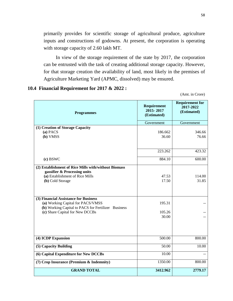primarily provides for scientific storage of agricultural produce, agriculture inputs and constructions of godowns. At present, the corporation is operating with storage capacity of 2.60 lakh MT.

 In view of the storage requirement of the state by 2017, the corporation can be entrusted with the task of creating additional storage capacity. However, for that storage creation the availability of land, most likely in the premises of Agriculture Marketing Yard (APMC, dissolved) may be ensured.

#### **10.4 Financial Requirement for 2017 & 2022 :**

(Amt. in Crore)

| <b>Programmes</b>                                                                                                                                                                                                                                                                                                   | Requirement<br>2015-2017<br>(Estimated)     | <b>Requirement for</b><br>2017-2022<br>(Estimated) |
|---------------------------------------------------------------------------------------------------------------------------------------------------------------------------------------------------------------------------------------------------------------------------------------------------------------------|---------------------------------------------|----------------------------------------------------|
|                                                                                                                                                                                                                                                                                                                     | Government                                  | Government                                         |
| (1) Creation of Storage Capacity<br>$(a)$ PACS<br>(b) VMSS                                                                                                                                                                                                                                                          | 186.662<br>36.60                            | 346.66<br>76.66                                    |
|                                                                                                                                                                                                                                                                                                                     | 223.262                                     | 423.32                                             |
| (c) BSWC                                                                                                                                                                                                                                                                                                            | 884.10                                      | 600.00                                             |
| (2) Establishment of Rice Mills with/without Biomass<br>gassifier & Processing units<br>(a) Establishment of Rice Mills<br>(b) Cold Storage<br>(3) Financial Assistance for Business<br>(a) Working Capital for PACS/VMSS<br>(b) Working Capital to PACS for Fertilizer Business<br>(c) Share Capital for New DCCBs | 47.53<br>17.50<br>195.31<br>105.26<br>30.00 | 114.00<br>31.85                                    |
| (4) ICDP Expansion                                                                                                                                                                                                                                                                                                  | 500.00                                      | 800.00                                             |
| (5) Capacity Building                                                                                                                                                                                                                                                                                               | 50.00                                       | 10.00                                              |
| (6) Capital Expenditure for New DCCBs                                                                                                                                                                                                                                                                               | 10.00                                       |                                                    |
| (7) Crop Insurance (Premium & Indemnity)                                                                                                                                                                                                                                                                            | 1350.00                                     | 800.00                                             |
| <b>GRAND TOTAL</b>                                                                                                                                                                                                                                                                                                  | 3412.962                                    | 2779.17                                            |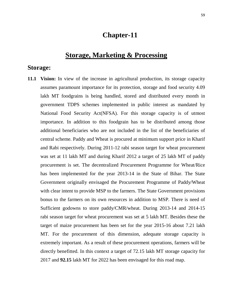## **Chapter-11**

# **Storage, Marketing & Processing**

#### **Storage:**

**11.1 Vision:** In view of the increase in agricultural production, its storage capacity assumes paramount importance for its protection, storage and food security 4.09 lakh MT foodgrains is being handled, stored and distributed every month in government TDPS schemes implemented in public interest as mandated by National Food Security Act(NFSA). For this storage capacity is of utmost importance. In addition to this foodgrain has to be distributed among those additional beneficiaries who are not included in the list of the beneficiaries of central scheme. Paddy and Wheat is procured at minimum support price in Kharif and Rabi respectively. During 2011-12 rabi season target for wheat procurement was set at 11 lakh MT and during Kharif 2012 a target of 25 lakh MT of paddy procurement is set. The decentralized Procurement Programme for Wheat/Rice has been implemented for the year 2013-14 in the State of Bihar. The State Government originally envisaged the Procurement Programme of Paddy/Wheat with clear intent to provide MSP to the farmers. The State Government provisions bonus to the farmers on its own resources in addition to MSP. There is need of Sufficient godowns to store paddy/CMR/wheat. During 2013-14 and 2014-15 rabi season target for wheat procurement was set at 5 lakh MT. Besides these the target of maize procurement has been set for the year 2015-16 about 7.21 lakh MT. For the procurement of this dimension, adequate storage capacity is extremely important. As a result of these procurement operations, farmers will be directly benefitted. In this context a target of 72.15 lakh MT storage capacity for 2017 and **92.15** lakh MT for 2022 has been envisaged for this road map.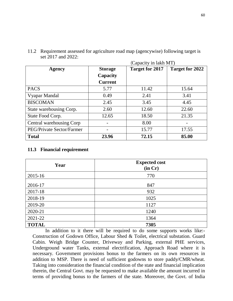|                           |                | (Capacity in lakh MT)  |                 |
|---------------------------|----------------|------------------------|-----------------|
| <b>Agency</b>             | <b>Storage</b> | <b>Target for 2017</b> | Target for 2022 |
|                           | Capacity       |                        |                 |
|                           | <b>Current</b> |                        |                 |
| <b>PACS</b>               | 5.77           | 11.42                  | 15.64           |
| Vyapar Mandal             | 0.49           | 2.41                   | 3.41            |
| <b>BISCOMAN</b>           | 2.45           | 3.45                   | 4.45            |
| State warehousing Corp.   | 2.60           | 12.60                  | 22.60           |
| State Food Corp.          | 12.65          | 18.50                  | 21.35           |
| Central warehousing Corp  |                | 8.00                   |                 |
| PEG/Private Sector/Farmer |                | 15.77                  | 17.55           |
| <b>Total</b>              | 23.96          | 72.15                  | 85.00           |

11.2 Requirement assessed for agriculture road map (agencywise) following target is set 2017 and 2022:

#### **11.3 Financial requirement**

| Year         | <b>Expected cost</b><br>(in Cr) |
|--------------|---------------------------------|
| 2015-16      | 770                             |
| 2016-17      | 847                             |
| 2017-18      | 932                             |
| 2018-19      | 1025                            |
| 2019-20      | 1127                            |
| 2020-21      | 1240                            |
| 2021-22      | 1364                            |
| <b>TOTAL</b> | 7305                            |

In addition to it there will be required to do some supports works like:- Construction of Godown Office, Labour Shed & Toilet, electrical substation. Guard Cabin. Weigh Bridge Counter, Driveway and Parking, external PHE services, Underground water Tanks, external electrification, Approach Road where it is necessary. Government provisions bonus to the farmers on its own resources in addition to MSP. There is need of sufficient godowns to store paddy/CMR/wheat. Taking into consideration the financial condition of the state and financial implication therein, the Central Govt. may be requested to make available the amount incurred in terms of providing bonus to the farmers of the state. Moreover, the Govt. of India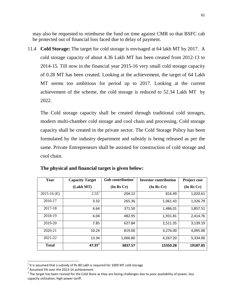may also be requested to reimburse the fund on time against CMR so that BSFC cab be protected out of financial loss faced due to delay of payment.

11.4 **Cold Storage:** The target for cold storage is envisaged at 64 lakh MT by 2017. A cold storage capacity of about 4.36 Lakh MT has been created from 2012-13 to 2014-15. Till now in the financial year 2015-16 very small cold storage capacity of 0.28 MT has been created. Looking at the achievement, the target of 64 Lakh MT seems too ambitious for period up to 2017. Looking at the current achievement of the scheme, the cold storage is reduced to 52.34 Lakh MT by 2022.

The Cold storage capacity shall be created through traditional cold storages, modern multi-chamber cold storage and cool chain and processing. Cold storage capacity shall be created in the private sector. The Cold Storage Policy has been formulated by the industry department and subsidy is being released as per the same. Private Entrepreneurs shall be assisted for construction of cold storage and cool chain.

| Year          | <b>Capacity Target</b> | Gob contribution | <b>Investor contribution</b> | Project cost |
|---------------|------------------------|------------------|------------------------------|--------------|
|               | (Lakh MT)              | (In Rs Cr)       | (In Rs Cr)                   | (In Rs Cr)   |
| $2015-16$ (E) | $2.55^{2}$             | 204.12           | 816.49                       | 1,020.61     |
| 2016-17       | 3.32                   | 265.36           | 1,061.43                     | 1,326.79     |
| 2017-18       | 4.64                   | 371.50           | 1,486.01                     | 1,857.51     |
| 2018-19       | 6.04                   | 482.95           | 1,931.81                     | 2,414.76     |
| 2019-20       | 7.85                   | 627.84           | 2,511.35                     | 3,139.19     |
| 2020-21       | 10.24                  | 819.00           | 3,276.00                     | 4,095.00     |
| 2021-22       | 13.34                  | 1,066.80         | 4,267.20                     | 5,334.00     |
| <b>Total</b>  | $47.97^{3}$            | 3837.57          | 15350.28                     | 19187.85     |

|  | The physical and financial target is given below: |  |  |
|--|---------------------------------------------------|--|--|
|  |                                                   |  |  |

l

 $^1$  It is assumed that a subsidy of Rs 80 Lakh is required for 1000 MT cold storage

 $2$  Assumed 5% over the 2013-14 achievement

 $^3$  The target has been revised for the Cold Store as they are facing challenges due to poor availability of power, less capacity utilization, high power tariff.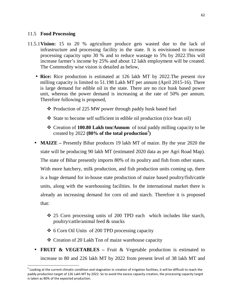#### 11.5 **Food Processing**

 $\overline{a}$ 

- 11.5.1**Vision:** 15 to 20 % agriculture produce gets wasted due to the lack of infrastructure and processing facility in the state. It is envisioned to increase processing capacity upto 30 % and to reduce wastage to 5% by 2022.This will increase farmer's income by 25% and about 12 lakh employment will be created. The Commodity wise vision is detailed as below,
	- **Rice:** Rice production is estimated at 126 lakh MT by 2022. The present rice milling capacity is limited to 51.198 Lakh MT per annum (April 2015-16). There is large demand for edible oil in the state. There are no rice husk based power unit, whereas the power demand is increasing at the rate of 50% per annum. Therefore following is proposed,
		- ❖ Production of 225 MW power through paddy husk based fuel
		- State to become self sufficient in edible oil production (rice bran oil)
		- Creation of **100.80 Lakh ton/Annum** of total paddy milling capacity to be created by 2022 **(80% of the total production** $^{4}$ )
	- **MAIZE** Presently Bihar produces 19 lakh MT of maize. By the year 2020 the state will be producing 90 lakh MT (estimated 2020 data as per Agri Road Map). The state of Bihar presently imports 80% of its poultry and fish from other states. With more hatchery, milk production, and fish production units coming up, there is a huge demand for in-house state production of maize based poultry/fish/cattle units, along with the warehousing facilities. In the international market there is already an increasing demand for corn oil and starch. Therefore it is proposed that:
		- 25 Corn processing units of 200 TPD each which includes like starch, poultry/cattle/animal feed & snacks
		- $\div$  6 Corn Oil Units of 200 TPD processing capacity
		- Creation of 20 Lakh Ton of maize warehouse capacity
	- **FRUIT & VEGETABLES** Fruit & Vegetable production is estimated to increase to 80 and 226 lakh MT by 2022 from present level of 38 lakh MT and

 $^4$  Looking at the current climatic condition and stagnation in creation of irrigation facilities, it will be difficult to reach the paddy production target of 126 Lakh MT by 2022. So to avoid the excess capacity creation, the processing capacity target is taken as 80% of the expected production.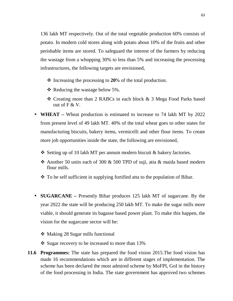136 lakh MT respectively. Out of the total vegetable production 60% consists of potato. In modern cold stores along with potato about 10% of the fruits and other perishable items are stored. To safeguard the interest of the farmers by reducing the wastage from a whopping 30% to less than 5% and increasing the processing infrastructures, the following targets are envisioned,

- Increasing the processing to **20**% of the total production.
- $\triangleleft$  Reducing the wastage below 5%.
- Creating more than 2 RABCs in each block & 3 Mega Food Parks based out of F & V.
- **WHEAT** Wheat production is estimated to increase to 74 lakh MT by 2022 from present level of 49 lakh MT. 40% of the total wheat goes to other states for manufacturing biscuits, bakery items, vermicelli and other flour items. To create more job opportunities inside the state, the following are envisioned,
	- $\triangle$  Setting up of 10 lakh MT per annum modern biscuit & bakery factories.
	- Another 50 units each of 300  $&$  500 TPD of suji, atta  $&$  maida based modern flour mills.
	- To be self sufficient in supplying fortified atta to the population of Bihar.
- **SUGARCANE** Presently Bihar produces 125 lakh MT of sugarcane. By the year 2022 the state will be producing 250 lakh MT. To make the sugar mills more viable, it should generate its bagasse based power plant. To make this happen, the vision for the sugarcane sector will be:
	- Making 28 Sugar mills functional
	- $\div$  Sugar recovery to be increased to more than 13%
- **11.6 Programmes:** The state has prepared the food vision 2015.The food vision has made 16 recommendations which are in different stages of implementation. The scheme has been declared the most admired scheme by MoFPI, GoI in the history of the food processing in India. The state government has approved two schemes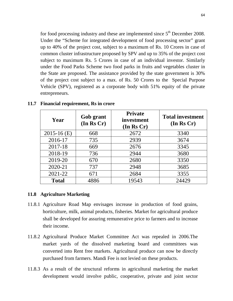for food processing industry and these are implemented since  $5<sup>th</sup>$  December 2008. Under the "Scheme for integrated development of food processing sector" grant up to 40% of the project cost, subject to a maximum of Rs. 10 Crores in case of common cluster infrastructure proposed by SPV and up to 35% of the project cost subject to maximum Rs. 5 Crores in case of an individual investor. Similarly under the Food Parks Scheme two food parks in fruits and vegetables cluster in the State are proposed. The assistance provided by the state government is 30% of the project cost subject to a max. of Rs. 50 Crores to the Special Purpose Vehicle (SPV), registered as a corporate body with 51% equity of the private entrepreneurs.

| Year          | Gob grant<br>(In Rs Cr) | <b>Private</b><br>investment<br>(In Rs Cr) | <b>Total investment</b><br>(In Rs Cr) |
|---------------|-------------------------|--------------------------------------------|---------------------------------------|
| $2015-16$ (E) | 668                     | 2672                                       | 3340                                  |
| 2016-17       | 735                     | 2939                                       | 3674                                  |
| 2017-18       | 669                     | 2676                                       | 3345                                  |
| 2018-19       | 736                     | 2944                                       | 3680                                  |
| 2019-20       | 670                     | 2680                                       | 3350                                  |
| 2020-21       | 737                     | 2948                                       | 3685                                  |
| 2021-22       | 671                     | 2684                                       | 3355                                  |
| <b>Total</b>  | 4886                    | 19543                                      | 24429                                 |

#### **11.7 Financial requirement, Rs in crore**

#### **11.8 Agriculture Marketing**

- 11.8.1 Agriculture Road Map envisages increase in production of food grains, horticulture, milk, animal products, fisheries. Market for agricultural produce shall be developed for assuring remunerative price to farmers and to increase their income.
- 11.8.2 Agricultural Produce Market Committee Act was repealed in 2006.The market yards of the dissolved marketing board and committees was converted into Rent free markets. Agricultural produce can now be directly purchased from farmers. Mandi Fee is not levied on these products.
- 11.8.3 As a result of the structural reforms in agricultural marketing the market development would involve public, cooperative, private and joint sector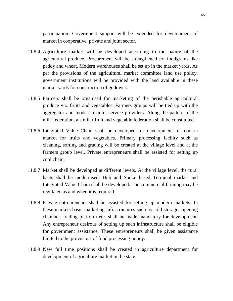participation. Government support will be extended for development of market in cooperative, private and joint sector.

- 11.8.4 Agriculture market will be developed according to the nature of the agricultural produce. Procurement will be strengthened for foodgrains like paddy and wheat. Modern warehouses shall be set up in the market yards. As per the provisions of the agricultural market committee land use policy, government institutions will be provided with the land available in these market yards for construction of godowns.
- 11.8.5 Farmers shall be organised for marketing of the perishable agricultural produce viz. fruits and vegetables. Farmers groups will be tied up with the aggregator and modern market service providers. Along the pattern of the milk federation, a similar fruit and vegetable federation shall be constituted.
- 11.8.6 Integrated Value Chain shall be developed for development of modern market for fruits and vegetables. Primary processing facility such as cleaning, sorting and grading will be created at the village level and at the farmers group level. Private entrepreneurs shall be assisted for setting up cool chain.
- 11.8.7 Market shall be developed at different levels. At the village level, the rural haats shall be modernised. Hub and Spoke based Terminal market and Integrated Value Chain shall be developed. The commercial farming may be regulated as and when it is required.
- 11.8.8 Private entrepreneurs shall be assisted for setting up modern markets. In these markets basic marketing infrastructures such as cold storage, ripening chamber, trading platform etc. shall be made mandatory for development. Any entrepreneur desirous of setting up such infrastructure shall be eligible for government assistance. These entrepreneurs shall be given assistance limited to the provisions of food processing policy.
- 11.8.9 New full time positions shall be created in agriculture department for development of agriculture market in the state.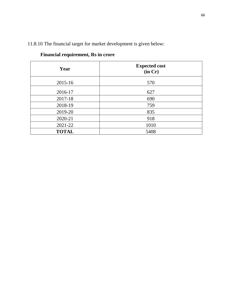| Year         | <b>Expected cost</b><br>(in Cr) |
|--------------|---------------------------------|
| 2015-16      | 570                             |
| 2016-17      | 627                             |
| 2017-18      | 690                             |
| 2018-19      | 759                             |
| 2019-20      | 835                             |
| 2020-21      | 918                             |
| 2021-22      | 1010                            |
| <b>TOTAL</b> | 5408                            |

## 11.8.10 The financial target for market development is given below:

| <b>Financial requirement, Rs in crore</b> |
|-------------------------------------------|
|-------------------------------------------|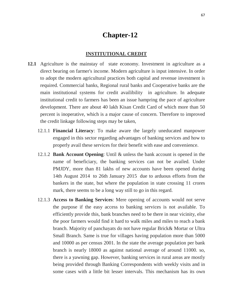# **Chapter-12**

#### **INSTITUTIONAL CREDIT**

- **12.1** Agriculture is the mainstay of state economy. Investment in agriculture as a direct bearing on farmer's income. Modern agriculture is input intensive. In order to adopt the modern agricultural practices both capital and revenue investment is required. Commercial banks, Regional rural banks and Cooperative banks are the main institutional systems for credit availibility in agriculture. In adequate institutional credit to farmers has been an issue hampring the pace of agriculture development. There are about 40 lakh Kisan Credit Card of which more than 50 percent is inoperative, which is a major cause of concern. Therefore to improved the credit linkage following steps may be taken,
	- 12.1.1 **Financial Literacy**: To make aware the largely uneducated manpower engaged in this sector regarding advantages of banking services and how to properly avail these services for their benefit with ease and convenience.
	- 12.1.2 **Bank Account Opening**: Until & unless the bank account is opened in the name of beneficiary, the banking services can not be availed. Under PMJDY, more than 81 lakhs of new accounts have been opened during 14th August 2014 to 26th January 2015 due to arduous efforts from the bankers in the state, but where the population in state crossing 11 crores mark, there seems to be a long way still to go in this regard.
	- 12.1.3 **Access to Banking Services**: Mere opening of accounts would not serve the purpose if the easy access to banking services is not available. To efficiently provide this, bank branches need to be there in near vicinity, else the poor farmers would find it hard to walk miles and miles to reach a bank branch. Majority of panchayats do not have regular Brick& Mortar or Ultra Small Branch. Same is true for villages having population more than 5000 and 10000 as per census 2001. In the state the average population per bank branch is nearly 18000 as against national average of around 11000. so, there is a yawning gap. However, banking services in rural areas are mostly being provided through Banking Correspondents with weekly visits and in some cases with a little bit lesser intervals. This mechanism has its own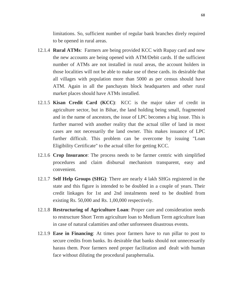limitations. So, sufficient number of regular bank branches direly required to be opened in rural areas.

- 12.1.4 **Rural ATMs**: Farmers are being provided KCC with Rupay card and now the new accounts are being opened with ATM/Debit cards. If the sufficient number of ATMs are not installed in rural areas, the account holders in those localities will not be able to make use of these cards. its desirable that all villages with population more than 5000 as per census should have ATM. Again in all the panchayats block headquarters and other rural market places should have ATMs installed.
- 12.1.5 **Kisan Credit Card (KCC)**: KCC is the major taker of credit in agriculture sector, but in Bihar, the land holding being small, fragmented and in the name of ancestors, the issue of LPC becomes a big issue. This is further marred with another reality that the actual tiller of land in most cases are not necessarily the land owner. This makes issuance of LPC further difficult. This problem can be overcome by issuing "Loan Eligibility Certificate" to the actual tiller for getting KCC.
- 12.1.6 **Crop Insurance**: The process needs to be farmer centric with simplified procedures and claim disbursal mechanism transparent, easy and convenient.
- 12.1.7 **Self Help Groups (SHG)**: There are nearly 4 lakh SHGs registered in the state and this figure is intended to be doubled in a couple of years. Their credit linkages for 1st and 2nd instalments need to be doubled from existing Rs. 50,000 and Rs. 1,00,000 respectively.
- 12.1.8 **Restructuring of Agriculture Loan**: Proper care and consideration needs to restructure Short Term agriculture loan to Medium Term agriculture loan in case of natural calamities and other unforeseen disastrous events.
- 12.1.9 **Ease in Financing**: At times poor farmers have to run pillar to post to secure credits from banks. Its desirable that banks should not unnecessarily harass them. Poor farmers need proper facilitation and dealt with human face without diluting the procedural paraphernalia.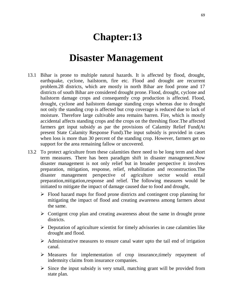# **Chapter:13**

# **Disaster Management**

- 13.1 Bihar is prone to multiple natural hazards. It is affected by flood, drought, earthquake, cyclone, hailstorm, fire etc. Flood and drought are recurrent problem.28 districts, which are mostly in north Bihar are food prone and 17 districts of south Bihar are considered drought prone. Flood, drought, cyclone and hailstorm damage crops and consequently crop production is affected. Flood, drought, cyclone and hailstorm damage standing crops whereas due to drought not only the standing crop is affected but crop coverage is reduced due to lack of moisture. Therefore large cultivable area remains barren. Fire, which is mostly accidental affects standing crops and the crops on the threshing floor.The affected farmers get input subsidy as par the provisions of Calamity Relief Fund(At present State Calamity Response Fund).The input subsidy is provided in cases when loss is more than 30 percent of the standing crop. However, farmers get no support for the area remaining fallow or uncovered.
- 13.2 To protect agriculture from these calamities there need to be long term and short term measures. There has been paradigm shift in disaster management.Now disaster management is not only relief but in broader perspective it involves preparation, mitigation, response, relief, rehabilitation and reconstruction.The disaster management perspective of agriculture sector would entail preparation,mitigation,response and relief. The following measures would be initiated to mitigate the impact of damage caused due to food and drought,
	- > Flood hazard maps for flood prone districts and contingent crop planning for mitigating the impact of flood and creating awareness among farmers about the same.
	- > Contigent crop plan and creating awareness about the same in drought prone districts.
	- Deputation of agriculture scientist for timely advisories in case calamities like drought and flood.
	- > Administrative measures to ensure canal water upto the tail end of irrigation canal.
	- > Measures for implementation of crop insurance, timely repayment of indemnity claims from insurance companies.
	- > Since the input subsidy is very small, matching grant will be provided from state plan.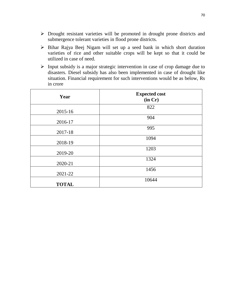- Drought resistant varieties will be promoted in drought prone districts and submergence tolerant varieties in flood prone districts.
- Bihar Rajya Beej Nigam will set up a seed bank in which short duration varieties of rice and other suitable crops will be kept so that it could be utilized in case of need.
- Input subsidy is a major strategic intervention in case of crop damage due to disasters. Diesel subsidy has also been implemented in case of drought like situation. Financial requirement for such interventions would be as below, Rs in crore

| Year         | <b>Expected cost</b><br>(in Cr) |
|--------------|---------------------------------|
| 2015-16      | 822                             |
| 2016-17      | 904                             |
| 2017-18      | 995                             |
| 2018-19      | 1094                            |
| 2019-20      | 1203                            |
| 2020-21      | 1324                            |
| 2021-22      | 1456                            |
| <b>TOTAL</b> | 10644                           |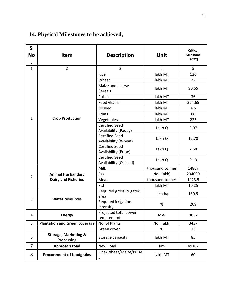# **14. Physical Milestones to be achieved,**

| SI<br>No<br>$\bullet$ | <b>Item</b>                                          | <b>Description</b>                              | Unit            | <b>Critical</b><br><b>Milestone</b><br>(2022) |
|-----------------------|------------------------------------------------------|-------------------------------------------------|-----------------|-----------------------------------------------|
| $\mathbf{1}$          | $\overline{2}$                                       | 3                                               | $\overline{4}$  | 5                                             |
|                       |                                                      | Rice                                            | lakh MT         | 126                                           |
|                       |                                                      | Wheat                                           | lakh MT         | 72                                            |
|                       |                                                      | Maize and coarse<br>Cereals                     | lakh MT         | 90.65                                         |
|                       |                                                      | Pulses                                          | lakh MT         | 36                                            |
|                       |                                                      | <b>Food Grains</b>                              | lakh MT         | 324.65                                        |
|                       |                                                      | Oilseed                                         | lakh MT         | 4.5                                           |
|                       |                                                      | Fruits                                          | lakh MT         | 80                                            |
| $\mathbf{1}$          | <b>Crop Production</b>                               | Vegetables                                      | lakh MT         | 225                                           |
|                       |                                                      | <b>Certified Seed</b><br>Availability (Paddy)   | Lakh Q          | 3.97                                          |
|                       |                                                      | <b>Certified Seed</b><br>Availability (Wheat)   | Lakh Q          | 12.78                                         |
|                       |                                                      | <b>Certified Seed</b><br>Availability (Pulse)   | Lakh Q          | 2.68                                          |
|                       |                                                      | <b>Certified Seed</b><br>Availability (Oilseed) | Lakh Q          | 0.13                                          |
|                       |                                                      | Milk                                            | thousand tonnes | 14867                                         |
|                       | <b>Animal Husbandary</b>                             | Egg                                             | No. (lakh)      | 234000                                        |
| $\overline{2}$        | <b>Dairy and Fisheries</b>                           | Meat                                            | thousand tonnes | 1423.5                                        |
|                       |                                                      | Fish                                            | lakh MT         | 10.25                                         |
| 3                     | <b>Water resources</b>                               | Required gross irrigated<br>area                | lakh ha         | 130.9                                         |
|                       |                                                      | Required irrigation<br>intensity                | %               | 209                                           |
| 4                     | <b>Energy</b>                                        | Projected total power<br>requirement            | <b>MW</b>       | 3852                                          |
| 5                     | <b>Plantation and Green coverage</b>                 | No. of Plants                                   | No. (lakh)      | 3437                                          |
|                       |                                                      | Green cover                                     | %               | 15                                            |
| 6                     | <b>Storage, Marketing &amp;</b><br><b>Processing</b> | Storage capacity                                | lakh MT         | 85                                            |
| $\overline{7}$        | Approach road                                        | New Road                                        | Km              | 49107                                         |
| 8                     | <b>Procurement of foodgrains</b>                     | Rice/Wheat/Maize/Pulse<br>$\sf S$               | Lakh MT         | 60                                            |